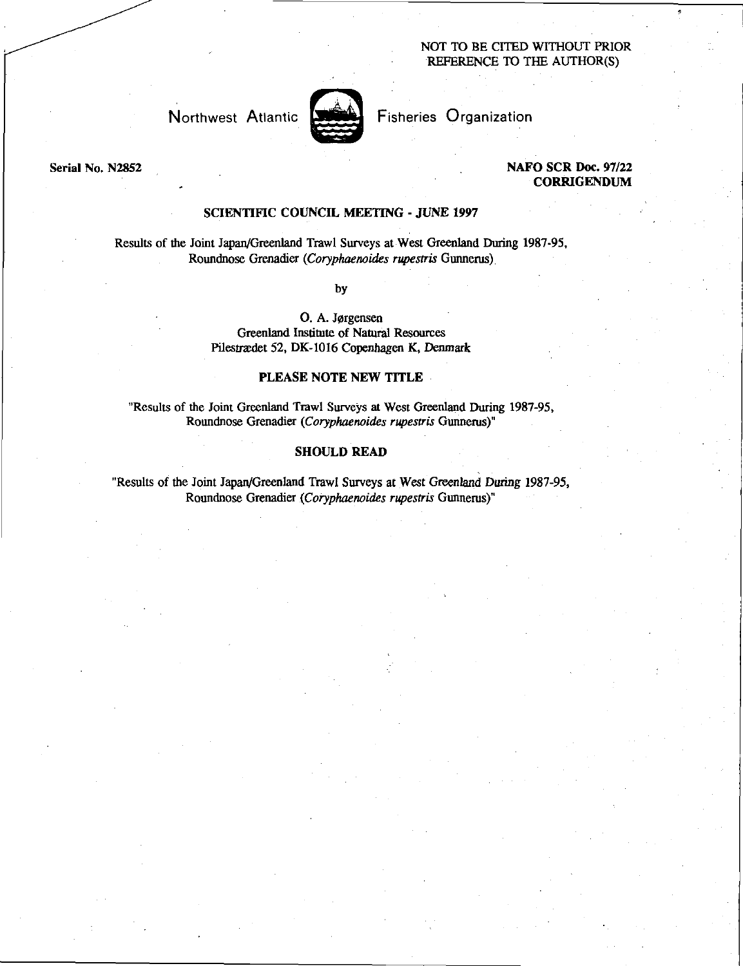# NOT TO BE CITED WITHOUT PRIOR REFERENCE TO THE AUTHOR(S)



Northwest Atlantic **Notified** Fisheries Organization

# Serial No. N2852 NAFO SCR Doc. 97/22 **CORRIGENDUM**

# SCIENTIFIC COUNCIL MEETING - *JUNE* 1997

Results of the Joint Japan/Greenland Trawl Surveys at West Greenland During 1987-95, Roundnose Grenadier *(Coryphaenoides rupestris* Gunnerus)

by

O. A. Jorgensen Greenland Institute of Natural Resources Pilestrædet 52, DK-1016 Copenhagen *K*, Denmark

# PLEASE NOTE NEW TITLE

"Results of the Joint Greenland Trawl Surveys at West Greenland During 1987-95, Roundnose Grenadier *(Coryphaenoides rupestris* Gurmerus)"

# SHOULD READ

"Results of the Joint Japan/Greenland Trawl Surveys at West *Greenland During* 1987-95, Roundnose Grenadier *(Coryphaenoides rupestris* Gunnerus)"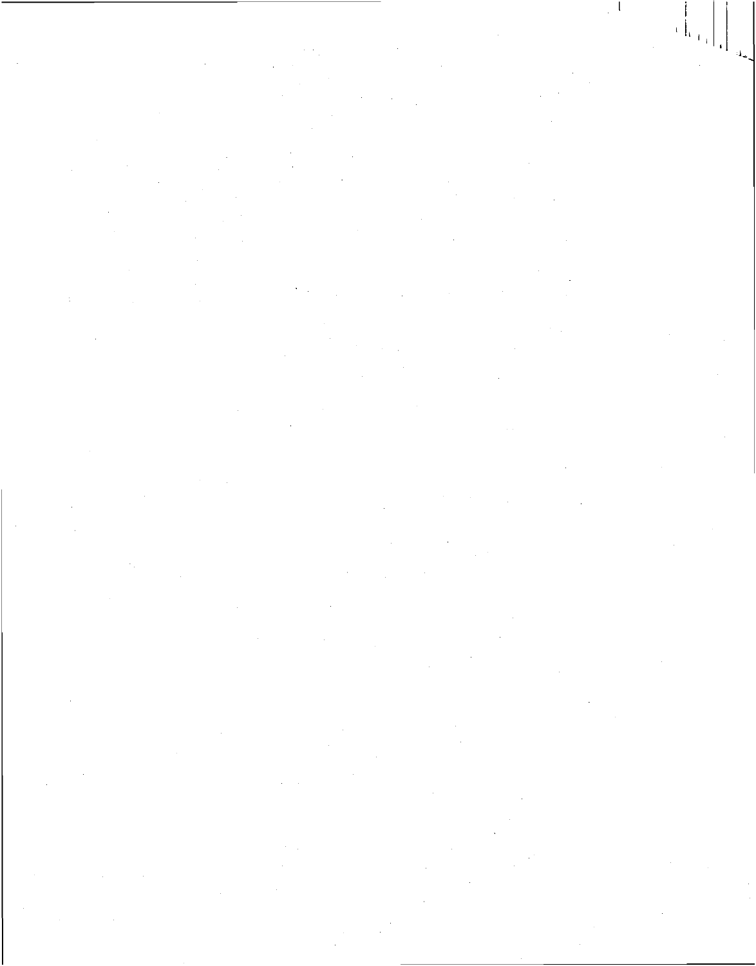$\sim 10$ 

 $\label{eq:2} \frac{1}{\sqrt{2}}\sum_{i=1}^n\frac{1}{\sqrt{2}}\sum_{j=1}^n\frac{1}{j!}\sum_{j=1}^n\frac{1}{j!}\sum_{j=1}^n\frac{1}{j!}\sum_{j=1}^n\frac{1}{j!}\sum_{j=1}^n\frac{1}{j!}\sum_{j=1}^n\frac{1}{j!}\sum_{j=1}^n\frac{1}{j!}\sum_{j=1}^n\frac{1}{j!}\sum_{j=1}^n\frac{1}{j!}\sum_{j=1}^n\frac{1}{j!}\sum_{j=1}^n\frac{1}{j!}\sum_{j=1}^$  $\label{eq:2.1} \mathcal{L}(\mathbf{q},\mathbf{q})=\mathcal{L}(\mathbf{q},\mathbf{q})\mathcal{L}(\mathbf{q},\mathbf{q})$ 

 $\sim 10$  $\label{eq:2.1} \frac{1}{\sqrt{2}}\int_{\mathbb{R}^3} \frac{d\mu}{\mu} \left( \frac{d\mu}{\mu} \right)^2 \frac{d\mu}{\mu} \left( \frac{d\mu}{\mu} \right)^2 \frac{d\mu}{\mu} \left( \frac{d\mu}{\mu} \right)^2.$ 

 $\label{eq:2.1} \frac{1}{\sqrt{2}}\sum_{i=1}^n\frac{1}{\sqrt{2}}\sum_{i=1}^n\frac{1}{\sqrt{2}}\sum_{i=1}^n\frac{1}{\sqrt{2}}\sum_{i=1}^n\frac{1}{\sqrt{2}}\sum_{i=1}^n\frac{1}{\sqrt{2}}\sum_{i=1}^n\frac{1}{\sqrt{2}}\sum_{i=1}^n\frac{1}{\sqrt{2}}\sum_{i=1}^n\frac{1}{\sqrt{2}}\sum_{i=1}^n\frac{1}{\sqrt{2}}\sum_{i=1}^n\frac{1}{\sqrt{2}}\sum_{i=1}^n\frac$  $\label{eq:2.1} \begin{split} \mathcal{L}_{\text{max}}(\mathbf{r}) & = \frac{1}{2} \mathcal{L}_{\text{max}}(\mathbf{r}) \mathcal{L}_{\text{max}}(\mathbf{r}) \\ & = \frac{1}{2} \mathcal{L}_{\text{max}}(\mathbf{r}) \mathcal{L}_{\text{max}}(\mathbf{r}) \mathcal{L}_{\text{max}}(\mathbf{r}) \mathcal{L}_{\text{max}}(\mathbf{r}) \mathcal{L}_{\text{max}}(\mathbf{r}) \mathcal{L}_{\text{max}}(\mathbf{r}) \mathcal{L}_{\text{max}}(\mathbf{r}) \mathcal{L}_{\text{max}}(\mathbf{r})$ 

 $\label{eq:2.1} \frac{1}{\sqrt{2}}\left(\frac{1}{\sqrt{2}}\right)^{2} \left(\frac{1}{\sqrt{2}}\right)^{2} \left(\frac{1}{\sqrt{2}}\right)^{2} \left(\frac{1}{\sqrt{2}}\right)^{2} \left(\frac{1}{\sqrt{2}}\right)^{2} \left(\frac{1}{\sqrt{2}}\right)^{2} \left(\frac{1}{\sqrt{2}}\right)^{2} \left(\frac{1}{\sqrt{2}}\right)^{2} \left(\frac{1}{\sqrt{2}}\right)^{2} \left(\frac{1}{\sqrt{2}}\right)^{2} \left(\frac{1}{\sqrt{2}}\right)^{2} \left(\$ 

 $\label{eq:2.1} \frac{1}{\sqrt{2}}\sum_{i=1}^n\frac{1}{\sqrt{2\pi}}\sum_{i=1}^n\frac{1}{\sqrt{2\pi}}\sum_{i=1}^n\frac{1}{\sqrt{2\pi}}\sum_{i=1}^n\frac{1}{\sqrt{2\pi}}\sum_{i=1}^n\frac{1}{\sqrt{2\pi}}\sum_{i=1}^n\frac{1}{\sqrt{2\pi}}\sum_{i=1}^n\frac{1}{\sqrt{2\pi}}\sum_{i=1}^n\frac{1}{\sqrt{2\pi}}\sum_{i=1}^n\frac{1}{\sqrt{2\pi}}\sum_{i=1}^n\frac{$  $\label{eq:2.1} \frac{1}{\sqrt{2\pi}}\int_{\mathbb{R}^3}\frac{d\mu}{\mu}\left(\frac{d\mu}{\mu}\right)^2\frac{d\mu}{\mu}\left(\frac{d\mu}{\mu}\right)^2.$ 

 $\mathcal{A}$ 

 $\begin{picture}(130,10) \put(0,0){\line(1,0){10}} \put(15,0){\line(1,0){10}} \put(15,0){\line(1,0){10}} \put(15,0){\line(1,0){10}} \put(15,0){\line(1,0){10}} \put(15,0){\line(1,0){10}} \put(15,0){\line(1,0){10}} \put(15,0){\line(1,0){10}} \put(15,0){\line(1,0){10}} \put(15,0){\line(1,0){10}} \put(15,0){\line(1,0){10}} \put(15,0){\line($ 

 $\mathcal{F}(\mathcal{G})$ 

 $\label{eq:2.1} \begin{split} \mathcal{L}_{\text{max}}(\mathbf{r}) = \mathcal{L}_{\text{max}}(\mathbf{r}) \mathcal{L}_{\text{max}}(\mathbf{r}) \mathcal{L}_{\text{max}}(\mathbf{r}) \mathcal{L}_{\text{max}}(\mathbf{r}) \mathcal{L}_{\text{max}}(\mathbf{r}) \mathcal{L}_{\text{max}}(\mathbf{r}) \mathcal{L}_{\text{max}}(\mathbf{r}) \mathcal{L}_{\text{max}}(\mathbf{r}) \mathcal{L}_{\text{max}}(\mathbf{r}) \mathcal{L}_{\text{max}}(\mathbf{r}) \mathcal{L}_{\text{max}}(\mathbf{r}) \$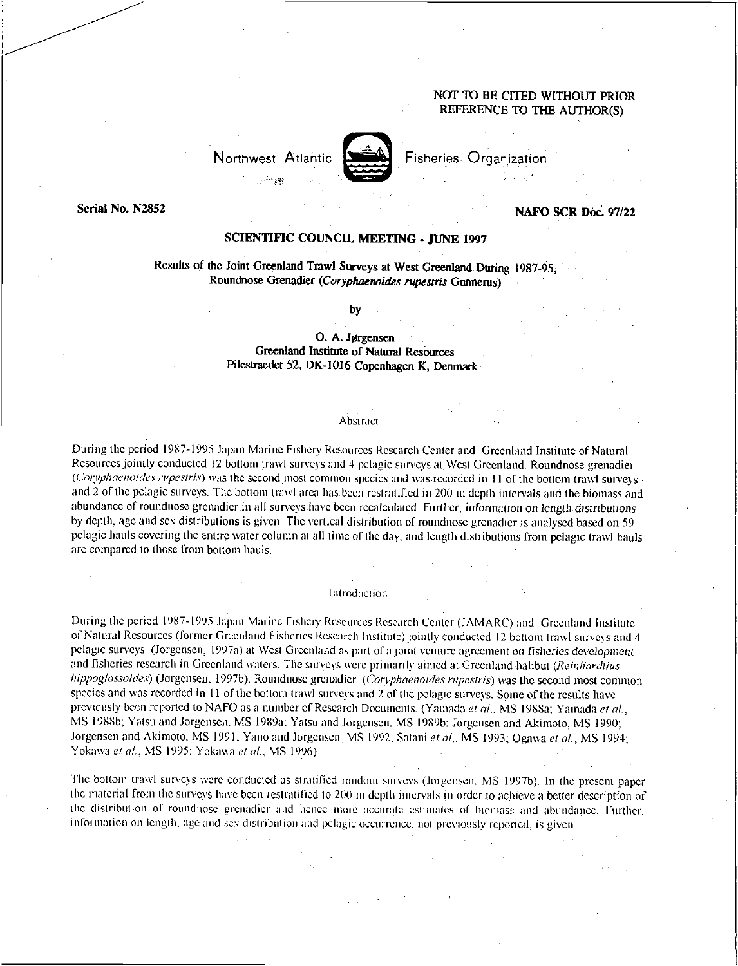# NOT TO BE CITED WITHOUT PRIOR REFERENCE TO THE AUTHOR(S)



Fisheries Organization

**Serial No. N2852** 

## **NAFO SCR DOi. 97/22**

# **SCIENTIFIC COUNCIL MEETING - JUNE 1997**

Results of the Joint Greenland Trawl Surveys at West Greenland. During 1987-95 Roundnose Grenadier *(Coryphaenoides rupestris* Gunnerus)

by

0. A. Jorgensen Greenland Institute of Natural Resources Pilestraedet 52, DK-I016 Copenhagen K, Denmark

## Abstract

During the period 1987-1995 Japan Marine Fishery Resources Research Center and Greenland Institute of Natural Resources jointly conducted 12 bottom trawl surveys and 4 pelagic surveys at. West Greenland. Roundnose grenadier (Coryphaenoides rupestris) was the second most common species and was recorded in 11 of the bottom trawl surveys and 2 of the pelagic surveys. The bottom trawl area has been restratified in 200 m depth intervals and the biomass and abundance of roundnose grenadier in all surveys have been recalculated. Further, information on length distributions by depth, age and sex distributions is given. The vertical distribution of roundnose grenadier is analysed based on 59 pelagic hauls covering the entire water column at all time of the day, and length distributions from pelagic trawl hauls are compared to those from bottom hauls.

#### Introduction

During the period 1987-1995 Japan Marine Fishery Resources Research Center (JAMARC) and Greenland Institute of Natural Resources (former Greenland Fisheries Research Institute) jointly conducted 12 bottom trawl surveys and 4 pelagic surveys (Jorgensen, 1997a) at West Greenland as part of a joint venture agreement on fisheries *development*  and fisheries research in Greenland waters. The surveys were primarily aimed at Greenland-halibut *(Reinlianlaus hippoglossoides*) (Jorgensen, 1997b). Roundnose grenadier *(Corvphaenoides rupestris*) was the second most common species and was recorded in 11 of the bottom trawl surveys and 2 of the pelagic surveys. Some of the results have previously been reported to NAFO as a number of Research Documents. (Yamada *et al.,* MS I988a; Yamada *et at,*  MS 1988b; Yatsu and Jorgensen, MS 1989a; Yatsu and Jorgensen, MS 1989b; Jorgensen and Akimoto, MS 1990; Jorgensen and Akimoto, MS 1991; Yano and Jorgensen, MS 1992; Satani *et al,.* MS 1993; Ogawa *et al.,* MS 1994; Yokawa *clot,* MS 1995; Yokawa *et al.,* MS 1996).

The bottom trawl surveys were conducted as stratified random surveys (Jorgensen. MS 1997b). In the present paper the material from the surveys have been restratificd lo 200 m depth intervals in order to achieve a better description of the distribution of roundnose grenadier and hence more accurate estimates of biomass and abundance\_ Further, information on length, age and sex distribution and pelagic occurrence, not previously reported, is given.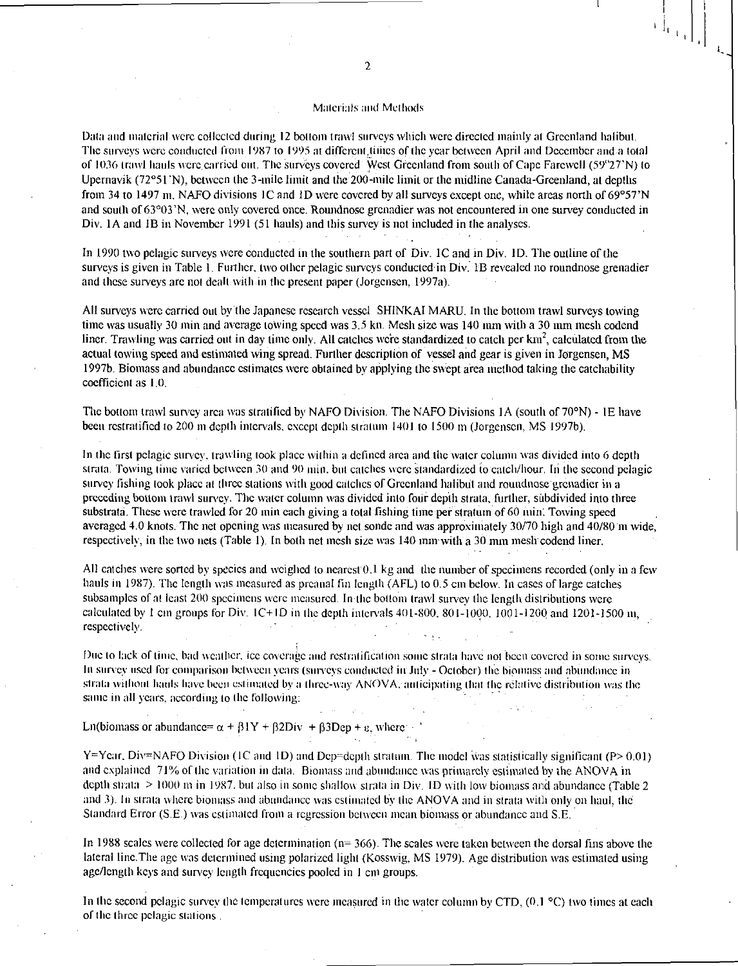## Materials and Methods

Data and material were collected during 12 bottom trawl surveys which were directed mainly at Greenland halibut. The surveys were conducted from 1987 to 1995 at different times of the year between April and December and a total of 1036 trawl hauls were,carried out. The surveys covered West Greenland from south of Cape Farewell (59°27'N) to Upernavik (72°51'N), between the 3-mile limit and the 200-mile limit or the midline Canada-Greenland, at depths from 34 to 1497 m. NAFO divisions IC and ID were covered by all surveys except one, while areas north of 69°57'N and south of 63°03'N, were only covered once. Roundnose grenadier was not encountered in one survey conducted in Div. 1A and 1B in November 1991 (51 hauls) and this survey is not included in the analyses.

In 1990 two pelagic surveys were conducted in the southern part of Div. 1C and in Div. ID. The outline of the surveys is given in Table 1. Further, two other pelagic surveys conducted in Div. 1B revealed no roundnose grenadier and these surveys are not dealt with.in the present paper (Jorgensen, 1997a).

All surveys were carried out by the Japanese research vessel SHINKAI MARU. In the bottom trawl surveys towing time was usually 30 min and average towing speed was 3.5 kn. Mesh size was 140 mm with a 30 mm mesh codend liner. Trawling was carried out in day time only. All catches were standardized to catch per  $km<sup>2</sup>$ , calculated from the actual towing speed and estimated wing spread. Further description of vessel and gear is given in Jorgensen, MS 1997b. Biomass and abundance estimates were obtained by applying the swept area method taking the catchability coefficient as 1.0.

The bottom trawl survey area was stratified by NAFO Division. The NAFO Divisions IA (south of 70°N) - IE have been restratified to 200 m depth intervals, except depth stratum 1401 to 1500 m (Jorgensen, MS 1997b).

In the first pelagic survey, trawling took place within a defined area and the water column was divided into 6 depth strata. Towing time varied between 30 and 90 min. but catches were standardized to catch/hour. In the second pelagic survey fishing took place at three stations with good catches of Greenland halibut and roundnose grenadier in a preceding bottom trawl survey. The water column was divided into four depth strata, further, subdivided into three substrata. These were trawled for 20 min each giving a total fishing time per stratum of 60 min, Towing speed averaged 4.0 knots. The net opening was measured by net sonde and was approximately 30/70 high and 40/80 in wide, respectively, in the two nets (Table 1). In both net mesh size was 140 mmwith a 30 nun mesh codend liner.

All catches were sorted by species and weighed to nearest 0.1 kg and the number of specimens recorded (only in a few hauls in 1987). The length was measured as preanal fin length (AFL) to 0.5 cm below. In cases of large catches subsamples of at least 200 specimens were measured. In the bottom trawl survey the length distributions were calculated by I cm groups for Div. IC+ ID in the depth intervals 40 L-800, 801-1000, 1001-1200 and 1201-1500 m, respectively. **Carl Control**  $\mathbf{v}$  and  $\mathbf{v}$ 

Due to lack of time, bad weather, ice coverage and restratification some strata have not been covered in some surveys. In survey used for comparison between years (surveys conducted in July - October) the biomass and abundance in strata without hauls have been estimated by a three-way ANOVA, anticipating that the relative distribution was the same in all years, according to the following:

Ln(biomass or abundance=  $\alpha$  +  $\beta$ 1Y +  $\beta$ 2Div +  $\beta$ 3Dep + e, where -

 $Y=Y$ ear. Div=NAFO Division (1C and 1D) and Dep=depth stratum. The model was statistically significant (P> 0.01) and explained 71% of the variation in data. Biomass and abundance was primarely estimated by the ANOVA in depth strata  $> 1000$  m in 1987, but also in some shallow strata in Div. 1D with low biomass and abundance (Table 2) and 3). In strata where biomass and abundance was estimated by the ANOVA and in strata with only on haul, the Standard Error (S.E.) was estimated from a regression between mean biomass or abundance and S.F.

In 1988 scales were collected for age determination (n= 366). The scales were taken between the dorsal fins above the lateral Iine.The age was determined using polarized light (Kosswig, MS 1979). Age distribution was estimated using age/length keys and survey length frequencies pooled in 1 cm groups.

In the second pelagic survey the temperatures were measured in the water column by CTD,  $(0.1 \degree C)$  two times at each of the three pelagic stations .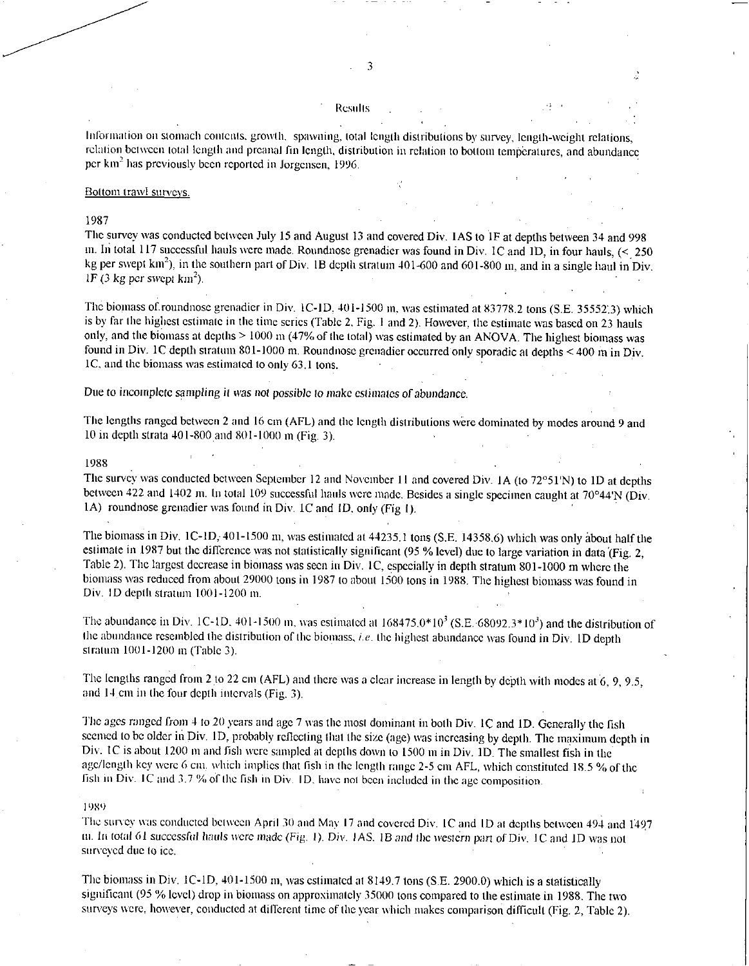#### Results

Information on stomach contents, growth. spawning, total length distributions by survey, length-weight relations, relation between total length and preanal fin length, distribution in relation to bottom temperatures, and abundance per km' has previously been reported in Jorgensen, 1996.

3

# Bottom trawl surveys.

# 1987

The survey was conducted between July 15 and August 13 and covered Div. 1AS to IF at depths between 34 and 998 in. In total 117 successful hauls were made. Roundnose grenadier was found in Div. IC and 1D, in four hauls, (< 250 kg per swept km<sup>2</sup>), in the southern part of Div. 1B depth stratum 401-600 and 601-800 m, and in a single haul in Div. IF  $(3 \text{ kg per swept km}^2)$ .

The biomass of roundnose grenadier in Div. 1C-ID, 401-1500 in, was estimated at 83778.2 tons (S.E. 35552.3) which is by far the highest estimate in the time series (Table 2, Fig. I and 2). However, the estimate was based on 23 hauls only, and the biomass at depths > 1000 m (47% of the total) was estimated by an ANOVA. The highest biomass was found in Div. 1C depth stratum 801-1000 m. Roundnose grenadier occurred only sporadic at depths < 400 m in Div. IC, and the biomass was estimated to only 63.1 tons.

Due to incomplete *sampling it was not possible to make estimates of abundance.* 

The lengths ranged between 2 and 16 cm (AFL) and the length distributions were dominated by modes around 9 and 10 in depth strata 401-800 and 801-1000 in (Fig. 3).

## 1988

The survey was conducted between September 12 and November 11 and covered Div. IA (to 72°51'N) to 1D at depths between 422 and 1402 m. In total 109 successful hauls were made. Besides a single specimen caught at 70°44'N (Div. IA) roundnose grenadier was found in Div. IC and ID, only (Fig 1).

The biomass in Div. 1C-1D, 401-1500 m, was estimated at 44235.1 tons (S.E. 14358.6) which was only about half the estimate in 1987 but the difference was not statistically significant (95 % level) due to large variation in data (Fig. 2, Table 2). The largest decrease in biomass was seen in Div. IC, especially in depth stratum 801-1000 m where the biomass was reduced from about 29000 tons in 1987 to about 1500 tons in 1988. The highest biomass was found in Div. ID depth stratum 1001-1200 m.

The abundance in Div. 1C-1D, 401-1500 m, was estimated at  $168475.0*10^3$  (S.E.  $68092.3*10^3$ ) and the distribution of the abundance resembled the distribution of the biomass, *i.e.* the highest abundance was found in Div. ID depth stratum 1001-1200 m (Table 3).

The lengths ranged from 2 to 22 cm (AFL) and there was a clear increase in length by depth with modes at 6, 9, 9.5, and I4,cm in the four depth intervals (Fig. 3).

The *ages* ranged from 4 to 20 years and age 7 was the most dominant in both Div. IC and ID. Generally the fish seemed to be older in Div. ID, probably reflecting that the size (age) was increasing by depth. The maximum depth in Div. IC is about 1200 in and fish were sampled at depths down to 1500 m in Div. ID. The smallest fish in the age/length key were 6 cm. which implies that fish in the length range 2-5 cm AFL, which constituted 18.5 % of the fish in Div. IC and 3.7 % of the Fish in Div. ID. have not been included in the age composition.

#### I 989

The survey was conducted between April 30 and May 17 and covered Div. IC and ID at depths between 494 and 1497 in. In total 61 *successful* hauls *were made (Fig. l). Div. I* AS. I B *and* the western part of Div. 1C and ID was not surveyed due to ice.

The biomass in Div. IC-ID, 401-1500 m, was estimated at 8149.7 tons (S.E. 2900.0) which is a statistically significant (95 % level) drop in biomass on approximately 35000 tons compared to the estimate in 1988. The two surveys were, however, conducted at different time of the year which makes comparison difficult (Fig. 2, Table 2).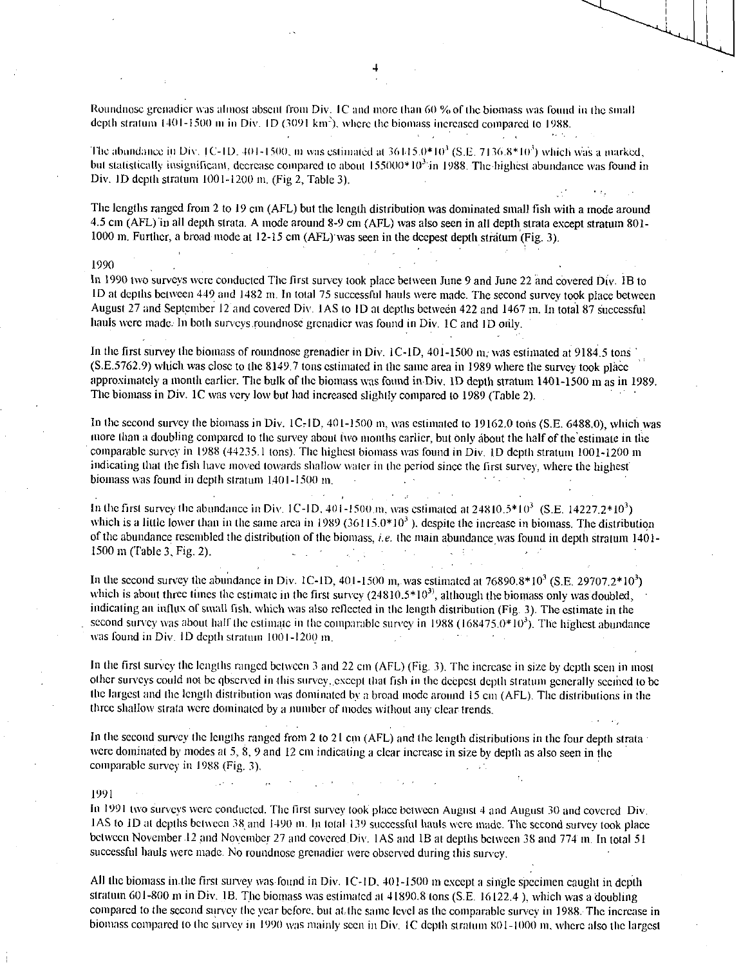Roundnose grenadier was almost absent from Div. IC and more than 60 %of the biomass was found in the small depth stratum  $1401-1500$  m in Div. 1D (3091 km<sup>2</sup>), where the biomass increased compared to 1988.

The abundance in Div. IC-ID. 401-1500, in was estimated at  $3615.0*10<sup>3</sup>$  (S.E. 7136.8\*10<sup>3</sup>) which was a marked, but statistically insignificant, decrease compared to about 155000\*10<sup>3</sup> in 1988. The highest abundance was found in Div. 1D depth stratum 1001-1200 m. (Fig 2, Table 3).

 $\mathcal{A}=\mathcal{A}^{\mathcal{A}}$  ,  $\mathcal{A}^{\mathcal{A}}$ 

The lengths ranged from 2 to 19 cm (AFL) but the length distribution was dominated small fish with a mode around 4.5 cm (AFL) in all depth strata. A mode around 8-9 cm (AFL) was also seen in all depth strata except stratum 801- 1000 m. Further, a broad mode at 12-15 cm (AFL) was seen in the deepest depth stratum (Fig. 3).

 $\frac{1}{2}$  ,  $\frac{1}{2}$  ,

 $\mathbb{R}^2$ 

 $\mathcal{F}(\mathcal{F})$ 

1990

In 1990 two surveys were conducted The first survey took place between June 9 and June 22 and covered Div. IB to ID at depths between 449 and 1482 m. In total 75 successful hauls were made. The second survey took place between August 27 and September 12 and covered Div. 1AS to 1D at depths between 422 and 1467 m. In total 87 successful hauls were made. In both surveys roundnose grenadier was found in Div. 1C and 1D only.

In the first survey the biomass of roundnose grenadier in Div. 1C-1D, 401-1500 m; was estimated at 9184.5 tons (S.E.5762.9) which was close to the 8149.7 tons estimated in the same area in 1989 where the survey took place approximately a month earlier. The bulk of the biomass was found in Div. ID depth stratum 1401-1500 in as in 1989. The biomass in Div. 1C was very low but had increased slightly compared to 1989 (Table 2).

In the second survey the biomass in Div. 1C-1D, 401-1500 m, was estimated to 19162.0 tons (S.E. 6488.0), which was more than a doubling compared to the survey about two months earlier, but only about the half of the estimate in the comparable survey in 1988 (44235.1 tons). The highest biomass was found in Div. ID depth stratum 1001-1200 in indicating that the fish have moved towards shallow water in the period since the first survey, where the highest biomass was found in depth stratum 1401-1500 m.

In the first survey the abundance in Div. 1C-ID, 401-1500.m, was estimated at  $24810.5*10<sup>3</sup>$  (S.E. 14227.2\*10<sup>3</sup>) which is a little lower than in the same area in 1989 (36115.0 $*10<sup>3</sup>$ ), despite the increase in biomass. The distribution of the abundance resembled the distribution of the biomass, *i.e.* the main abundance was found in depth stratum 1401- 1500 m (Table 3, Fig. 2).  $\sim 10$ 

In the second survey the abundance in Div. 1C-ID, 401-1500 m, was estimated at 76890.8\*10<sup>3</sup> (S.E. 29707.2\*10<sup>3</sup>) which is about three times the estimate in the first survey  $(24810.5*10<sup>3</sup>)$ , although the biomass only was doubled, indicating an influx of small fish, which was also reflected in the length distribution (Fig. 3). The estimate in the second survey was about half the estimate in the comparable survey in 1988 (168475.0 $*10<sup>3</sup>$ ). The highest abundance was found in Div. 1D depth stratum 1001-1200 m.  $\sim 100$ 

In the first survey the lengths ranged between 3 and 22 cm (AFL) (Fig. 3). The increase in size by depth seen in most other surveys could not be qbserved in this survey, except that fish in the deepest depth stratum generally seemed to be the largest and the length distribution was dominated by a broad mode around 15 cm (AFL). The distributions in the three shallow strata were dominated by a number of modes without any clear trends.

In the second survey the lengths ranged from 2 to 21 cm (AFL) and the length distributions in the four depth strata were dominated by modes at 5, 8, 9 and 12 cm indicating a clear increase in size by depth as also seen in the comparable survey in 1988 (Fig. 3).  $\sim 10^{11}$ 

1991

In 1991 two surveys were conducted. The first survey took place between August 4 and August 30 and covered Div. I AS to ID at depths between 38, and 1490 m. In total 139 successful hauls were made. The second survey took place between November 12 and November 27 and covered. Div. 1AS and 1B at depths between 38 and 774 m. In total 51 successful hauls were made. No roundnose grenadier were observed during this survey.

All the biomass in the first survey was found in Div. 1C-ID, 401-1500 m except a single specimen caught in depth stratum 601-800 m in Div. 1B. The biomass was estimated at 41890.8 tons (S.E. 16122.4), which was a doubling compared to the second survey the year before. but atthe same level as the comparable survey in 1988.• The increase in biomass compared to the survey in 1990 was mainly seen in Div. 1C depth stratum 801-1000 m, where also the largest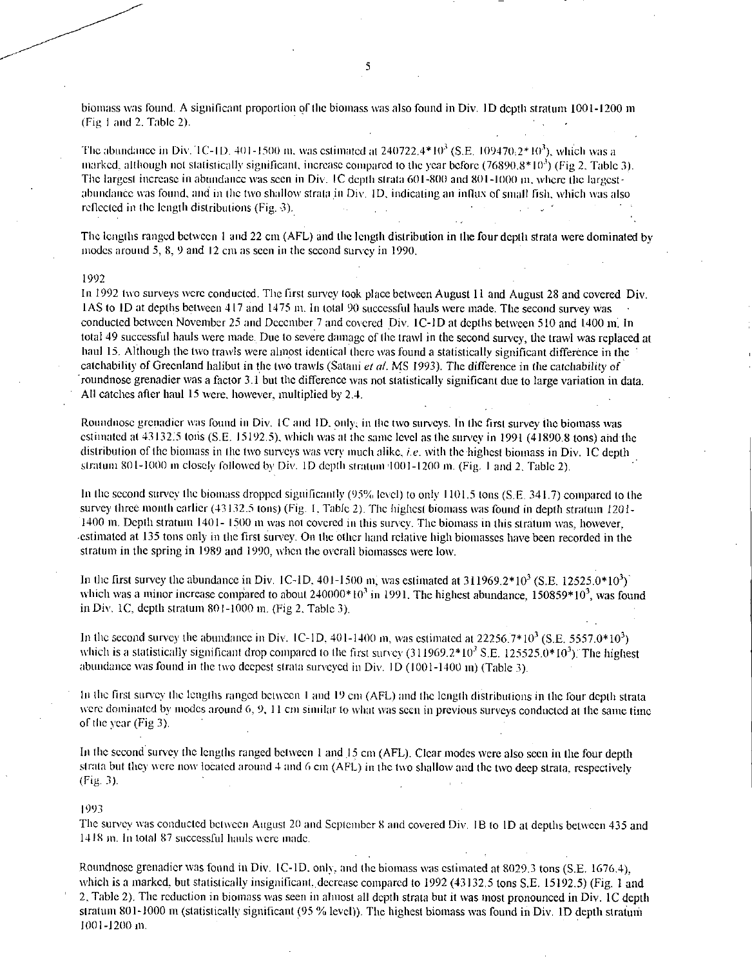biomass was found. A significant proportion of the biomass was also found in Div. ID depth stratum 1001-1200 m (Fig I and 2. Table 2).

The abundance in Div. IC-ID. 401-1500 m, was estimated at  $240722.4*10^3$  (S.E. 109470.2\*10<sup>3</sup>), which was a marked, although not statistically significant, increase compared to the year before  $(76890.8*10^3)$  (Fig 2, Table 3). The largest increase in abundance was seen in Div. IC depth strata 601-800 and 801-1000 in. where the largestabundance was found, and in the two shallow strata in Div. ID, indicating an influx of small fish, which was also reflected in the length distributions (Fig. 3).  $\label{eq:2} \mathcal{F}(\mathcal{A}) = \mathcal{F}(\mathcal{A}) = \mathcal{F}(\mathcal{A}) = \mathcal{F}(\mathcal{A})$ 

The lengths ranged between 1 and 22 cm (AFL) and the length distribution in the four depth strata were dominated by modes around 5, 8, 9 and 12 cm as seen in the second survey in 1990.

## 1992

In 1992 two surveys were conducted. The first survey took place between August 11 and August 28 and covered Div. 1AS to ID at depths between 417 and 1475 in. In total 90 successful hauls were made. The second survey was • conducted between November 25 and December 7 and covered Div. 1C-1D at depths between 510 and 1400 m. In total 49 successful hauls were made. Due to severe damage of the trawl in the second survey, the trawl was replaced at haul 15. Although the two trawls were almost identical there was found a statistically significant difference in the catchability of Greenland halibut in the two trawls (Salmi *et al.* MS 1993). The difference in the catchability of roundnose grenadier was a factor 3.1 but the difference was not statistically significant due to large variation in data. All catches after haul 15 were. however, multiplied by 2.4.

Roundnose grenadier was found in Div. 1C and 1D, only; in the two surveys. In the first survey the biomass was estimated at 43132:5 tons (S.F. 15192.5), which was at the same level as the survey in 1991 (41890.8 tons) and the distribution of the biomass in the two surveys was very much alike, *i.e.* with the highest biomass in Div. IC depth stratum 801-1000 m closely followed by Div. 1D depth stratum  $1001-1200$  m. (Fig. 1 and 2, Table 2).

In the second survey the biomass dropped significantly (95% level) to only 1101.5 tons (S.E. 341.7) compared to the survey three month earlier (43132.5 tons) (Fig. 1, Table 2). The highest biomass was found in depth stratum 1201-1400 in. Depth stratum 1401- 1500 in was not covered in this survey. The biomass in this stratum was, however, .estimated at 135 tons only in the first survey. On the other hand relative high biomasses have been recorded in the stratum in the spring in 1989 and 1990, when the overall biomasses were low.

In the first survey the abundance in Div. 1C-1D, 401-1500 m, was estimated at 311969.2\*10<sup>3</sup> (S.E. 12525.0\*10<sup>3</sup>) which was a minor increase compared to about  $240000*10<sup>3</sup>$  in 1991. The highest abundance, 150859\*10<sup>3</sup>, was found in Div. IC, depth stratum 801-1000 in. (Fig 2. Table 3).

In the second survey the abundance in Div. 1C-1D, 401-1400 m, was estimated at  $22256.7*10^3$  (S.E. 5557.0\*10<sup>3</sup>) which is a statistically significant drop compared to the first survey  $(311969.2*10<sup>3</sup>$  S.E. 125525.0\*10<sup>3</sup>). The highest abundance was found in the two deepest strata surveyed in Div. ID (1001-1400 in) (Table 3).

In the first survey the lengths ranged between I and 19 cm (AFL) and the length distributions in the four depth strata were dominated by modes around 6, 9, 11 cm similar to what was seen in previous surveys conducted at the same time of the year (Fig 3).

In the second survey the lengths ranged between 1 and 15 cm (AFL). Clear modes were also seen in the four depth strata but they were now located around 4 and 6 cm (AFL) in the two shallow and the two deep strata, respectively (Fig. 3).

## 1993

The survey was conducted between August 20 and September 8 and covered Div. 1B to ID at depths between 435 and 1418 in. In total 87 successful hauls were made.

Roundnose grenadier was found in Div. 1C-ID, only, and the biomass was estimated at 8029.3 tons (S.E. 1676.4), which is a marked, but statistically insignificant. decrease compared to  $1992$  (43132.5 tons S.E. 15192.5) (Fig. 1 and 2, Table 2), The reduction in biomass was seen in almost all depth strata but it was most pronounced in Div. 1C depth stratum 801-1000 m (statistically significant (95 % level)). The highest biomass was found in Div. 1D depth stratum 1001-1200 in.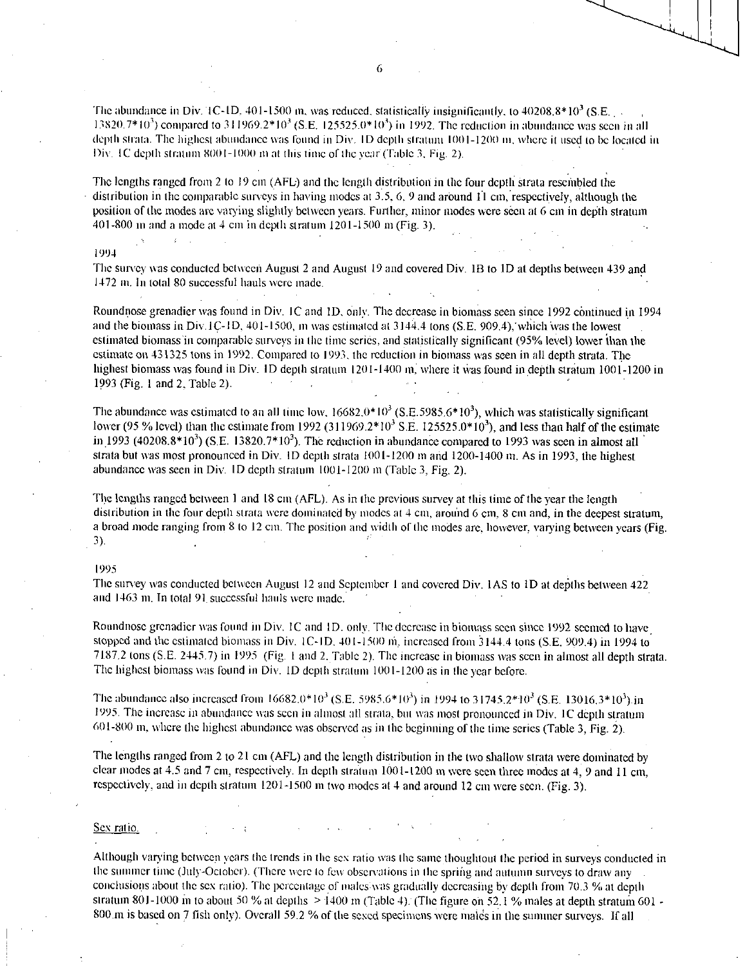The abundance in Div.  $1C-1D$ , 401-1500 in, was reduced, statistically insignificantly, to  $40208.8*10<sup>3</sup>$  (S.E. 13820.7\*10<sup>3</sup>) compared to 311969.2\*10<sup>3</sup> (S.E. 125525.0\*10<sup>3</sup>) in 1992. The reduction in abundance was seen in all depth strata. The highest abundance was found in Div, ID depth stratum 1001-1200 in. where it used to be located in Div. 1C depth stratum 8001-1000 m at this time of the year (Table 3, Fig. 2).

The lengths ranged from 2 to 19 cm (AFL) and the length distribution in the four depth strata resembled the distribution in the comparable surveys in having modes at  $3.5$ , 6, 9 and around 11 cm, respectively, although the position of the modes are varying slightly between years. Further, minor modes were seen at 6 em in depth stratum 401-800 in and a mode at 4 cm in depth stratum 1201-1500 m (Fig. 3).

# 1994

The survey was conducted between August 2 and August 19 and covered Div. 1B to 1D at depths between 439 and 1472 in. In total 80 successful hauls were made. •

Roundnose grenadier was found in Div. IC and ID, only. The decrease in biomass seen since 1992 continued in 1994 and the biomass in Div.1C-ID, 401-1500, in was estimated at 3144.4 tons (S.E. 909.4),'which Was the lowest estimated biomassin comparable surveys in the time series, and statistically significant (95% level) lower than the estimate on 431325 tons in 1992. Compared to 1993. the reduction in biomass was seen in all depth strata. The highest biomass was found in Div. ID depth stratum 1201-1400 m, where it was found in depth stratum 1001-1200 in 1993 (Fig. 1 and 2, Table 2).  $\mathbb{R}^{\mathbb{Z}^2}$ 

The abundance was estimated to an all time low,  $16682.0*10<sup>3</sup>$  (S.E.5985.6\*10<sup>3</sup>), which was statistically significant lower (95 % level) than the estimate from 1992 (311969.2 $*10<sup>3</sup>$  S.E. 125525.0 $*10<sup>3</sup>$ ), and less than half of the estimate in 1993 (40208.8 $*10<sup>3</sup>$ ) (S.E. 13820.7 $*10<sup>3</sup>$ ). The reduction in abundance compared to 1993 was seen in almost all strata but was most pronounced in Div. ID depth strata 1001-1200 m and 1200-1400 in. As in 1993, the highest abundance was seen in Div. ID depth stratum tool-1200 m (Table 3, Fig. 2).

The lengths ranged between 1 and 18 cm (AFL). As in the previous survey at this time of the year the length distribution in the four depth strata were dominated by modes at 4 cm, around 6 cm, 8 cm and, in the deepest stratum, a broad mode ranging from 8 to 12 cm. The position and width of the modes are, however, varying between years (Fig. 3).  $\mathbb{R}^2$ 

## 1995

The survey was conducted between August 12 and September I and covered Div. 1AS to ID at depths between 422, and 1463 m. In total 91 successful hauls were made.

Roundnose grenadier was found in Div. IC and ID. only. The decrease in biomass seen since 1992 seemed to have stopped and the estimated biomass in Div. 1C-1D, 401-1500 m, increased from 3144.4 tons (S.E. 909.4) in 1994 to 7187.2 tons (S.E. 2445.7) in 1995 (Fig. 1 and 2. Table 2). The increase in biomass was seen in almost all depth strata. The highest biomass was found in Div. ID depth stratum 1001-1200 as in the year before.

The abundance also increased from 16682.0\*10<sup>3</sup> (S.E. 5985.6\*10<sup>3</sup>) in 1994 to 31745.2\*10<sup>3</sup> (S.E. 13016.3\*10<sup>3</sup>).in 1995. The increase in abundance was seen in almost all strata, but was most pronounced in Div. IC depth stratum 601-800 m, where the highest abundance was observed as in the beginning of the time series (Table 3, Fig. 2).

The lengths ranged from 2 to 21 cm (AFL) and the length distribution in the two shallow strata were dominated by clear modes at 4.5 and 7 cm, respectively. In depth stratum 1001-1200 m were seen three modes at 4, 9 and 11 cm, respectively, and in depth stratum 1201-1500 in two modes at 4 and around 12 cm were seen. (Fig. 3).

#### Sex ratio.

Although varying between years the trends in the sex ratio was the same thoughtout the period in surveys conducted in the summer time (July-October). (There were to few observations in the spring and autumn surveys to draw any conclusions about the sex ratio). The percentage of males:was gradually decreasing by depth from 70.3 % at depth stratum 801-1000 in to about 50 % at depths  $> 1400$  m (Table 4). (The figure on 52.1 % males at depth stratum 601 -800.m is based on 7 fish only). Overall 59.2 %of the sexed specimens were maies in the summer surveys. If all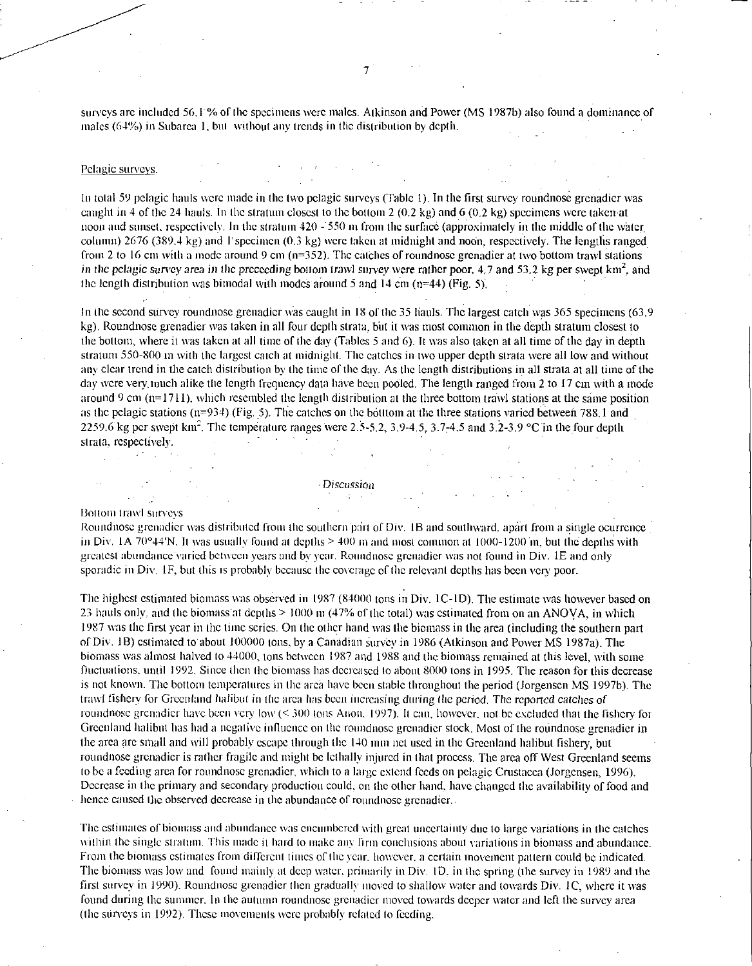surveys are included 56.1% of the specimens were males. Atkinson and Power (MS 1987b) also found a dominance of males (64%) in Subarea I, but without any trends in the distribution by depth.

## Pelagic surveys

In total 59 pelagic hauls were made in the two pelagic surveys (Table 1). In the first survey roundnose grenadier was caught in 4 of the 24 hauls. In the stratum closest to the bottom 2  $(0.2 \text{ kg})$  and 6  $(0.2 \text{ kg})$  specimens were taken at noon and sunset, respectively. In the stratum 420 - 550 in from the surface (approximately in the middle of the water. column) 2676 (389.4 kg) and  $\Gamma$  specimen (0.3 kg) were taken at midnight and noon, respectively. The lengths ranged from 2 to 16 cm with a mode around 9 cm  $(n=352)$ . The catches of roundnose grenadier at two bottom trawl stations *in the pelagic survey area in the preceeding bottom trawl survey were rather poor, 4.7 and 53.2 kg per swept km<sup>2</sup>, and* the length distribution was bimodal with modes around 5 and 14 cm ( $n=44$ ) (Fig. 5).

In the second survey roundnose grenadier was caught in 18 of the 35 hauls, The largest catch was 365 specimens (63.9 kg). Roundnose grenadier was taken in all four depth strata, bin it was most common in the depth stratum closest to the bottom, where it was taken at all time of the day (Tables 5 and 6). It was also taken at all time of the day in depth stratum 550-800 m with the largest catch at midnight. The catches in two upper depth strata were all low and without any clear trend in the catch distribution by the time of the day. As the length distributions in all strata at all time of the day were very much alike the length frequency data have been pooled. The length ranged from 2 to 17 cm with a mode around 9 cm  $(n=1711)$ , which resembled the length distribution at the three bottom trawl stations at the same position as the pelagic stations ( $n=934$ ) (Fig. 5). The catches on the botttom at the three stations varied between 788.1 and 2259.6 kg per swept km<sup>2</sup>. The temperature ranges were 2.5-5.2, 3.9-4.5, 3.7-4.5 and 3.2-3.9 °C in the four depth strata, respectively.

#### *Discussion*   $\sim 200$  km  $^{-2}$  .

#### 13ottom trawl surveys

Roundnose grenadier was distributed from the southern part of Div. IB and southward, apart from a single ocurrence in Div. 1A 70°44'N. It was usually found at depths > 400 m and most common at 1000-1200 m, but the depths with greatest abundance varied between years and by year. Roundnose grenadier was not found in Div. 1E and only sporadic in Div. IF, but this is probably because the coverage of the relevant depths has been very poor.

The highest estimated biomass was observed in 1987 (84000 tons in Div. 1C- ID). The estimate was however based on 23 hauls only, and the biomass at depths  $> 1000$  m (47% of the total) was estimated from on an ANOVA, in which 1987 was the first year in the time series. On the other hand was the biomass in the area (including the southern part of Div. 1B) estimated to about 100000 tons, by a Canadian survey in 1986 (Atkinson and Power MS 1987a). The biomass was almost halved to 44000, tons between 1987 and 1988 and the biomass remained at this level, with some fluctuations, until 1992. Since then the biomass has decreased to about 8000 tons in 1995. The reason for this decrease is not known. The bottom temperatures in the area have been stable throughout the period (Jorgensen MS 1997b). The trawl fishery for Greenland halibut in the area has been increasing during the period. The reported catches of roundnose grenadier have been very low (< 300 tons Anon. 1997). It can, however, not be excluded that the fishery for Greenland halibut has had a negative influence on the roundnose grenadier stock. Most of the roundnose grenadier in the area are small and will probably escape through the 140 mm net used in the Greenland halibut fishery, but roundnose grenadier is rather fragile and might be lethally injured in that process. The area off West Greenland seems to be a feeding area for roundnose grenadier, which to a large extend feeds on pelagic Crustacea (Jorgensen, 1996). Decrease in the primary and secondary production could, on the other hand, have changed the availability of food and hence caused the observed decrease in the abundance of roundnose grenadier..

The estimates of biomass and abundance was encumbered with great uncertainty due to large variations in the catches within the single stratum. This made it hard to make any firm conclusions about variations in biomass and abundance. From the biomass estimates from different times of the year. however, a certain movement pattern could be indicated. The biomass was low and found mainly at deep water, primarily in Div. 10, in the spring (the survey in 1989 and the first survey in 1990). Roundnosc grenadier then gradually moved to shallow water and towards Div. IC, where it was found during the summer. In the autumn roundnose grenadier moved towards deeper water and left the survey area (the surveys in 1992). These movements were probably related to feeding.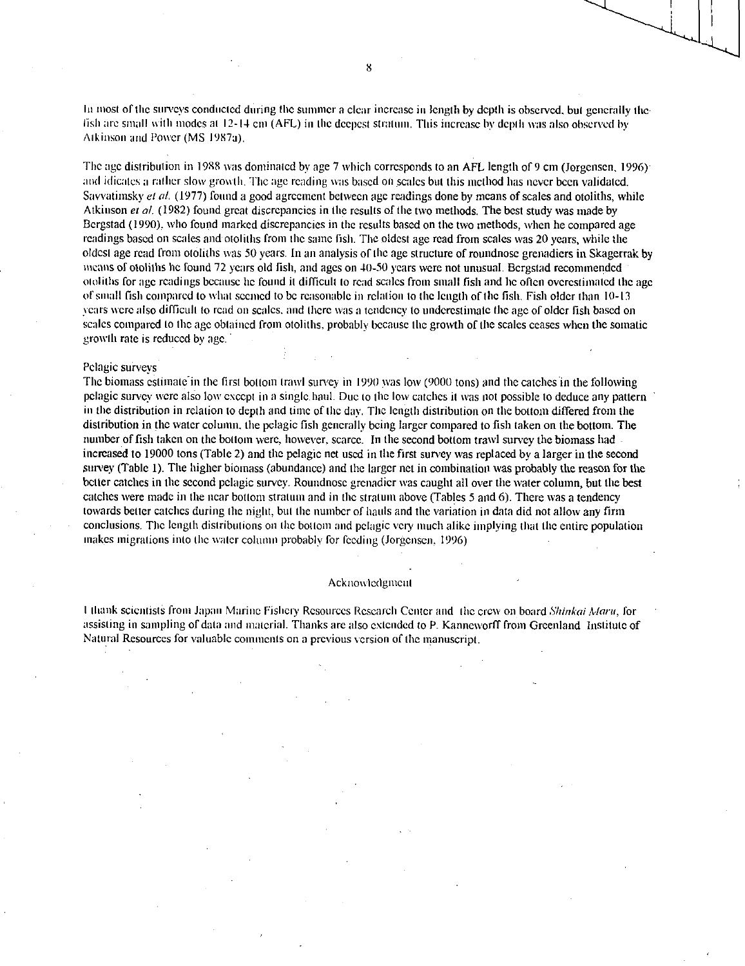In most of the surveys conducted during the summer a clear increase in length by depth is observed, but generally the lisp are small with modes at 12-14 cm (AFL) in the deepest stratum. This increase by depth was also observed by Atkinson and Power (MS 19873).

The age distribution in 1988 was dominated by age 7 which corresponds to an AFL length of 9 cm (Jorgensen, 1996) and idicates a rather slow growth. The age reading was based on scales but this method has never been validated. Sayvatimsky *et al.* (1977) found a good agreement between age readings done by means of scales and otoliths, while Atkinson *et al.* (1982) found great discrepancies in the results of the two methods. The best study was made by Bcrgstad (1990), who found marked discrepancies in the results based on the two methods, when he compared age readings based on scales and otoliths from the same fish. The oldest age read from scales was 20 years, while the oldest age read from otoliths was 50 years. In an analysis of the age structure of roundnose grenadiers in Skagerrak by means of otoliths he found 72 years old fish, and ages on 40-50 years were not unusual. Bergstad recommended otoliths for age readings because he found it difficult to read scales from small fish and he often overestimated the age of small fish compared to what seemed to be reasonable in relation to the length of the fish. Fish older than 10-13 years were also difficult to read on scales, and there was a tendency to underestimate the age of older fish based on scales compared to the age obtained from otoliths, probably because the growth of the scales ceases when the somatic growth rate is reduced by age.<sup>1</sup>

## Pelagic surveys

The biomass estimate in the first bottom trawl survey in 1990 was low (9000 tons) and the catches in the following pelagic survey were alSo low except in a single.haul. Due to the low catches it was not possible to deduce any pattern in the distribution in relation to depth and time of the day. The length distribution on the bottom differed from the distribution in the water column, the pelagic fish generally being larger compared to fish taken on the bottom. The number of fish taken on the bottom were, however, scarce. In the second bottom trawl survey the biomass had increased to 19000 tons (Table 2) and the pelagic net used in the first survey was replaced by a larger in the second survey (Table 1). The higher biomass (abundance) and the larger net in combination was probably the reason for the better catches in the second pelagic survey. Roundnose grenadier was caught all over the water column, but the best catches were made in the near bottom stratum and in the stratum above (Tables 5 and 6). There was a tendency towards better catches during the night, but the number of hauls and the variation in data did not allow any firm conclusions. The length distributions on the bottom and pelagic very much alike implying that the entire population makes migrations into the water column probably for feeding (Jorgensen, 1996)

#### **Acknowledgment**

I thank scientists from Japan Marine Fishery Resources Research Center and the crew on board *S'hinkai Mare,* for assisting in sampling of data and material. Thanks are also extended to P. Kanneworff from Greenland Institute of Natural Resources for valuable comments on a previous version of the manuscript.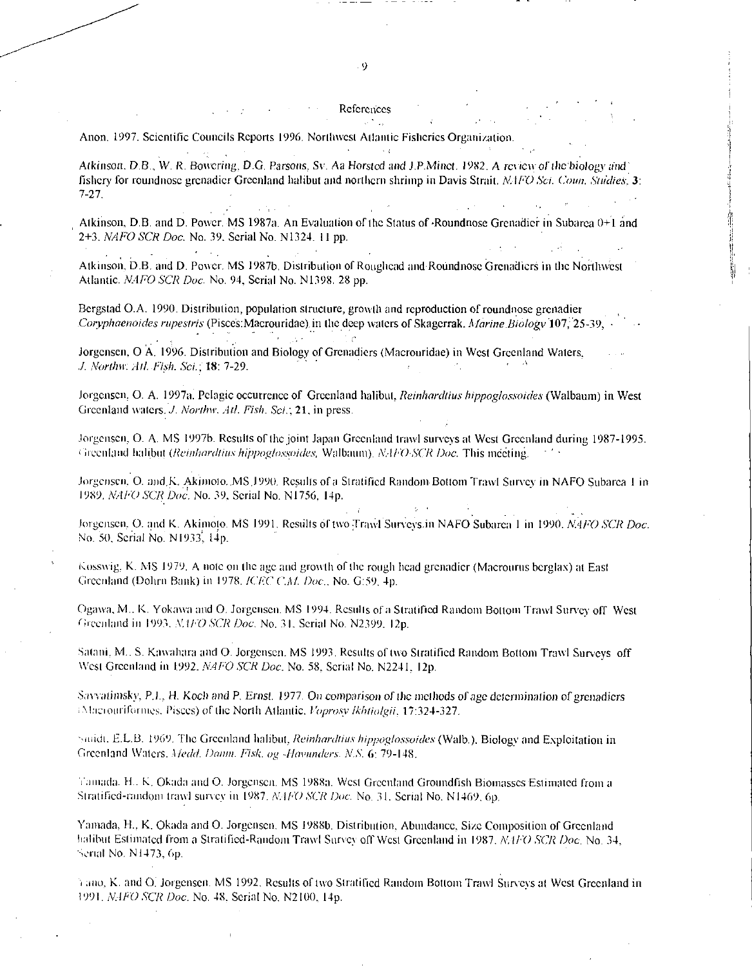## **References**

Anon. 1997. Scientific Councils Reports 1996. Northwest Atlantic Fisheries Organization.

 $\sim$  $\mathcal{A}^{\mathcal{A}}$ 

 $\epsilon$  .

Atkinson. D.B., W. R. Bowcring, D.C. Parsons, Sv. Aa *Horsted* and *J.P.Minct.* 1982. A *review of ilic'biology and .*  fishery for roundnose grenadier Greenland halibut and northern shrimp in Davis Strait. NAPO *Sc!. Cnun. SunlieS,* 3: 7-27.

Atkinson, D.B. and D. Power. MS 1987a. An Evaluation of the Status of .Roundnose Grenadier in Subarea 0+1 and 2+3. *NAFO SCR Doc.* No. 39. Serial No. N1324. 11 pp.

> 1 1 it

Atkinson, D.B. and D. Power. MS 1987b. Distribution of Roughead and RoUndnose Grenadiers in the Northwest Atlantic. *NAF0 SO? Doc.* No. 94, Serial No. N1398. 28 pp.

Bergstad O.A. 1990. Distribution, population structure, growth and reproduction of roundnose grenadier *Coryphaenoides rupestris (Pisces:Macrouridae), in the deep waters of Skagerrak. <i>Marine.Biology* **107**; **25-39**,  $\mathcal{D}$ 

Jorgensen, 0 A. 1996. Distribution and Biology of Grenadiers (Macrouridae) in West Greenland Waters, *Northir AR Fish. Sci.;* 18: 7-29.

Jorgensen, 0. A. I997a. Pelagic occurrence of Greenland halibut, *Reinhardlius hippoglossoides* (Walbaum) in West Greenland waters. *J. Northw. Atl. Fish. Sci.*; 21, in press.

Jorgensen, 0. A. MS 1997b. Results of the joint Japan Greenland trawl surveys at West Greenland during 1987-1995. Greenland halibut *(Reinhardtius hippoglossoides, Walbaum). NAFO-SCR Doc.* This meeting.

Jorgensen, O. and K. Akimoto. MS 1990. Results of a Stratified Random Bottom Trawl Survey in NAFO Subarea 1 in 1989. NAFO SCR Doc. No. 39, Serial No. N1756, 14p.

Jorgensen, 0. and K. Akimolo. MS 1991. Results of two Trawl Surveysin NAFO Subarea 1 in 1990. *Mil) SCR Doc.*  No. 50, Serial No. N1933, 14p.

Kosswig, K. MS 1979. A note on the age and growth of the rough head grenadier (Macrourus berglax) at East Greenland (Dohrn Bank) in 1978. *ICEC CAL Doc.,* No. G:59, 4p.

Ogawa, M.. K. Yokawa and 0. Jorgensen. MS 1994. Results of a Stratified Random Bottom Trawl Survey off West Greenland in 1993. I/O *SO? Doc.* No. 31, Serial No. N2399. 12p.

Salani, M.. S. Kawahara and 0. Jorgensen. MS 1993. Results of two Stratified Random Bottom Trawl Surveys off West Greenland in 1992. NAFO *SCR Doc.* No. 58, Serial No. N2241, 12p.

.S;Ivvathnsky, P.1., H. Koch and *P. Ernst 1977.* On *comparison* of the methods of *age* determination of *grenadiers iMacrouriformes. Pisces) of the North Atlantic. <i>Voprosy lkhtiolgii*, 17:324-327.

Smidt, E.L.B. 1969. The Greenland halibut, *Reinhardtius hippoglossoides* (Walb.). Biology and Exploitation in Greenland Waters. *Iledd, Daunt. Fisk og-/lavenders. WS.* 6: 79-148.

Yamada. H.. K. Okada and 0. Jorgensen. MS 1988a. West Greenland Groundfish Biomasses Estimated from a Stratified-random trawl survey in 1987. NAPO *SCR Doc.* No. 31. Serial No. N1469. 6p.

Yamada, H., K. Okada and 0. Jorgensen. MS 1988b. Distribution, Abundance, Size Composition of Greenland halibut Estimated from a Stratified-Random Trawl Survey off West Greenland in 1987, *NAFO SCR Doc.* No. 34, Serial No. N1473, 6p.

.ino, K. and 0. Jorgensen. MS 1992. Results of two Stratified Random Bottom Trawl Surveys at West Greenland in 1991. N.1FO SCR *Doc.* No. 48, Serial No. N2 WO, 14p.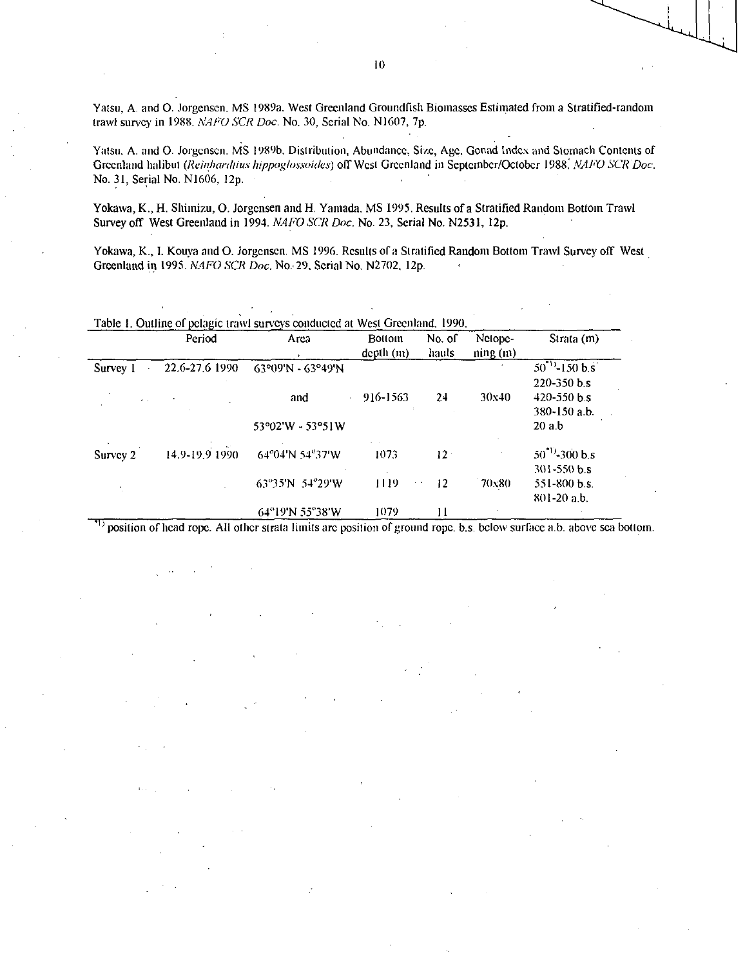Yatsu, A. and 0. Jorgensen. MS 1989a. West Greenland Groundfish Biomasses Estimated from a Stratified-random trawl survey in 1988. *NAPO S'CR Doc.* No. 30, Serial No. N1607, 7p.

Yatsu. A. and 0. Jorgensen. MS I989b. Distribution, Abundance, Size, Age, Gonad Index and Stomach Contents of Greenland halibut *(Reinhardtius hippoglossoides)* off West Greenland in September/October 1988, NAFO SCR Doc. No. 31, Serial No. N1606, 12p.

Yokawa, K., H. Shimizu, 0. Jorgensen and H. Yamada. MS 1995. Results of a Stratified Random Bottom Trawl Survey off West Greenland in 1994. *NAFO SCR Doc.* No. 23, Serial No. N253I, 12p.

Yokawa, K., I. Konya and 0. Jorgensen. MS 1996. Results of a Stratified Random Bottom Trawl Survey off West Greenland in 1995. *NAPO SCR Doe.* No.•29. Serial No. N2702, 12p.

Table I. Outline of pelagic trawl surveys conducted at West Greenland. 1990.

|          | Period         | Arca                                                | <b>Bottom</b><br>depth(m) | No. of<br>hauls | Netope-<br>$\min_{\mathbf{z}}(\mathbf{m})$ | Strata (m)                             |
|----------|----------------|-----------------------------------------------------|---------------------------|-----------------|--------------------------------------------|----------------------------------------|
| Survey 1 | 22.6-27 6 1990 | 63°09'N - 63°49'N                                   |                           |                 |                                            | $50^{-1}$ -150 b.s<br>$220 - 350$ b.s. |
| $\sim$ . |                | and                                                 | 916-1563                  | 24              | 30x40                                      | $420 - 550$ b.s.<br>380-150 a.b.       |
|          |                | 53°02'W - 53°51W                                    |                           |                 |                                            | 20a.b                                  |
| Survey 2 | 14.9-19.9 1990 | 64°04'N 54°37'W                                     | 1073                      | 12 <sup>1</sup> |                                            | $50^{11}$ -300 b.s<br>$301 - 550$ b.s. |
|          |                | $-63^{\circ}35^{\prime}N$ 54 $^{\circ}29^{\prime}W$ | 1119                      | 12              | 70x80                                      | $551-800$ b.s.<br>$801-20a.b.$         |
|          |                | $64^{\circ}19^{\circ}N55^{\circ}38^{\circ}W$        | 1079                      | П               |                                            |                                        |

<sup>1</sup>) position of head rope. All other strata limits are position of ground rope, b.s. below surface a.b. above sea bottom.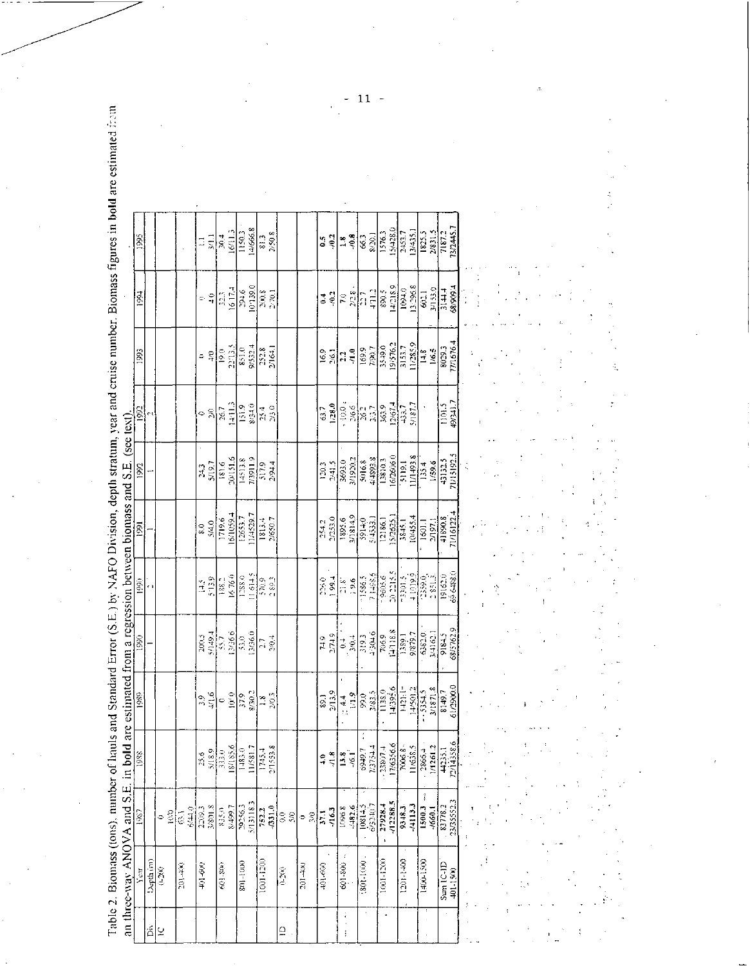Table 2. Biomass (tons), number of lands and Standard Error (S.E.) by NAFO Division, depth stratum, year and cruise number. Biomass figures in bold are estimated from  $(1, 0, 0)$   $\in$   $\Gamma$   $(0, 0, 0)$ en hioma n heture roarpecio  $\circ$ ectionated from an three-more  $\Delta N\cap VA$  and  $\zeta F$  in hold are

| 1995          |                |       |               |                 |        |                    | $\equiv \frac{1}{2}$ | $30.4$<br>$16/11.3$  |          | $\frac{1150.3}{44666.8}$                                                                      |                   | $\frac{3}{2}$                                                                                                                                                               | $2/50.8$ |                              |                      | $\overline{6}$ | 40.2             | $\frac{8}{1}$                                                |                     | $rac{8}{63}$                                                                                                                                                                                                                                                                                                                                    | 8/20.1 |                                    |                   |          | $\begin{array}{r} 1576.3 \\ 15428.0 \\ 2453.7 \\ 13435.1 \\ 1825.5 \\ 1825.5 \\ 187.2 \\ 187.2 \\ 187.2 \\ 187.2 \\ 187.2 \\ 187.2 \\ 187.2 \\ 187.2 \\ 187.2 \\ 187.2 \\ 187.2 \\ 187.2 \\ 187.2 \\ 187.2 \\ 187.2 \\ 187.2 \\ 187.2 \\ 187.2 \\ 187.2 \\ 187.2 \\ 187.2 \\ 187.2 \\ 187.2 \\ 1$                                                                                                                                                                                                  |                           |            |                         |
|---------------|----------------|-------|---------------|-----------------|--------|--------------------|----------------------|----------------------|----------|-----------------------------------------------------------------------------------------------|-------------------|-----------------------------------------------------------------------------------------------------------------------------------------------------------------------------|----------|------------------------------|----------------------|----------------|------------------|--------------------------------------------------------------|---------------------|-------------------------------------------------------------------------------------------------------------------------------------------------------------------------------------------------------------------------------------------------------------------------------------------------------------------------------------------------|--------|------------------------------------|-------------------|----------|----------------------------------------------------------------------------------------------------------------------------------------------------------------------------------------------------------------------------------------------------------------------------------------------------------------------------------------------------------------------------------------------------------------------------------------------------------------------------------------------------|---------------------------|------------|-------------------------|
| 1991          |                |       |               |                 |        |                    |                      |                      |          | $\frac{1}{9}$<br>$\frac{1}{22.3}$<br>$\frac{1}{16}$<br>$\frac{1}{294.6}$<br>$\frac{1}{294.6}$ |                   | $\frac{1000}{2001}$                                                                                                                                                         |          |                              |                      |                |                  |                                                              |                     |                                                                                                                                                                                                                                                                                                                                                 |        |                                    |                   |          | $\frac{3}{2}$                                                                                                                                                                                                                                                                                                                                                                                                                                                                                      |                           |            |                         |
| 1993          |                |       |               |                 |        |                    |                      |                      |          | $\begin{array}{r} 0 \\ -400 \\ \hline 19.0 \\ -2211.5 \\ 851.0 \\ -851.24 \end{array}$        |                   | <b>352.8</b><br>2/164.1                                                                                                                                                     |          |                              |                      |                |                  |                                                              |                     |                                                                                                                                                                                                                                                                                                                                                 |        |                                    |                   |          | $\frac{169}{120}$ $\frac{13}{120}$ $\frac{13}{120}$ $\frac{189}{180}$ $\frac{189}{181}$ $\frac{121}{181}$ $\frac{121}{181}$ $\frac{121}{181}$ $\frac{121}{181}$ $\frac{121}{181}$ $\frac{121}{181}$ $\frac{121}{181}$ $\frac{121}{181}$                                                                                                                                                                                                                                                            |                           |            |                         |
|               | <u>ရွ</u> ေ    |       |               |                 |        |                    |                      | $\frac{9}{26.7}$     |          |                                                                                               | $\frac{678}{619}$ | $\frac{4}{21}$ 3.0                                                                                                                                                          |          |                              |                      | 63.7           | 1/28.0           |                                                              |                     | $\begin{array}{l} 0.96 \\ 19.6 \\ -2.81 \\ -2.81 \\ -2.81 \\ -2.81 \\ -2.81 \\ -2.81 \\ -2.81 \\ -2.81 \\ -2.81 \\ -2.81 \\ -2.81 \\ -2.81 \\ -2.81 \\ -2.81 \\ -2.81 \\ -2.81 \\ -2.81 \\ -2.81 \\ -2.81 \\ -2.81 \\ -2.81 \\ -2.81 \\ -2.81 \\ -2.81 \\ -2.81 \\ -2.81 \\ -2.81 \\ -2.81 \\ -2.81 \\ -2.81 \\ -2.81 \\ -2.81 \\ -2.81 \\ -2.$ |        |                                    |                   |          |                                                                                                                                                                                                                                                                                                                                                                                                                                                                                                    |                           |            | $\frac{11015}{49/3417}$ |
| 1992          |                |       |               |                 |        |                    | 24.3<br>5/19.7       |                      |          |                                                                                               |                   | 181.6<br>20151.8<br>20151.18<br>2031.294.4                                                                                                                                  |          |                              |                      |                |                  |                                                              |                     |                                                                                                                                                                                                                                                                                                                                                 |        |                                    |                   |          | $\begin{array}{r} 1203 \\ \hline 1203 \\ -1803.0 \\ \hline 3893.0 \\ -8192.0 \\ \hline 18103.0 \\ -18103.0 \\ \hline 18103.0 \\ -18103.0 \\ \hline 18103.0 \\ -18193.8 \\ \hline 1819.1 \\ -1813.2 \\ \hline 1819.2 \\ -18132.5 \\ \hline \end{array}$                                                                                                                                                                                                                                             |                           |            |                         |
| 1991          |                |       |               |                 |        |                    |                      | $\frac{$10}{1719.6}$ |          | $\frac{1671059.4}{12653.7}$                                                                   |                   | 1813.4<br>2/650.7                                                                                                                                                           |          |                              |                      |                | 254.2<br>2/253.0 |                                                              |                     |                                                                                                                                                                                                                                                                                                                                                 |        |                                    |                   |          | $\begin{array}{r} \text{1895.6} \\ \text{1891.49} \\ \text{2181.33} \\ \text{3213.5} \\ \text{531.5} \\ \text{12186.1} \\ \text{12185.1} \\ \text{133.51} \\ \text{134.51} \\ \text{135.52} \\ \text{136.1} \\ \text{137.53} \\ \text{138.51} \\ \text{139.5} \\ \text{139.5} \\ \text{139.5} \\ \text{139.5} \\ \text{139.5} \\ \text{219.7} \\ \text{219.7$                                                                                                                                      |                           |            |                         |
| $\frac{1}{2}$ | $\epsilon$     |       |               |                 |        |                    |                      |                      |          |                                                                                               |                   | $\begin{array}{r} 14.5 \\ 513.9 \\ \hline 188.2 \\ \hline 188.3 \\ \hline 158.0 \\ \hline 128.0 \\ \hline 138.0 \\ \hline 570.9 \\ \hline 570.9 \\ \hline 52.3 \end{array}$ |          |                              |                      |                |                  |                                                              |                     |                                                                                                                                                                                                                                                                                                                                                 |        |                                    |                   |          |                                                                                                                                                                                                                                                                                                                                                                                                                                                                                                    |                           |            |                         |
| 990           |                |       |               |                 |        |                    | 200.5<br>5/149.4     |                      |          | -55.7<br>13/36.6<br>13/36.0<br>13/36.0                                                        |                   | $^{5.04}_{-2.04}$                                                                                                                                                           |          |                              |                      | 710            | 2/74.9           |                                                              |                     |                                                                                                                                                                                                                                                                                                                                                 |        |                                    |                   |          | $\begin{array}{r} . & . & . & . \\ \hline . & . & . & . \\ \hline . & . & . & . \\ \hline . & . & . & . \\ \hline . & . & . & . \\ \hline . & . & . & . \\ \hline . & . & . & . \\ \hline . & . & . & . \\ \hline . & . & . & . \\ \hline . & . & . & . \\ \hline . & . & . & . \\ \hline . & . & . & . \\ \hline . & . & . & . \\ \hline . & . & . & . \\ \hline . & . & . & . \\ \hline . & . & . & . \\ \hline . & . & . & . \\ \hline . & . & . & . \\ \hline . & . & . & . \\ \hline . & . &$ |                           |            |                         |
| loge          |                |       |               |                 |        | $\frac{3.9}{41.6}$ |                      |                      |          | $rac{100}{37302}$                                                                             |                   | $\frac{8}{200}$                                                                                                                                                             |          |                              |                      |                | 89.1<br>2/13.9   |                                                              |                     |                                                                                                                                                                                                                                                                                                                                                 |        |                                    |                   |          | $\begin{array}{r} .44 \\ 11.9 \\ 99.3 \\ 383.5 \\ 1138.0 \\ 1138.0 \\ 1129.6 \\ 111.1 \\ 1450.1 \\ 149.0 \\ 134.5 \\ 134.5 \\ \hline \end{array}$                                                                                                                                                                                                                                                                                                                                                  | $\frac{2 \times 18}{149}$ |            | 61/2900.0               |
| 1988          |                |       |               |                 |        | 25.6               |                      | 5/18.9               | 18/185.6 | $1483.0$<br>11/581.7                                                                          |                   | 1745.4                                                                                                                                                                      | 211533.8 |                              |                      | ្              | $-1.8$           |                                                              | $\frac{13.8}{16.1}$ | 13754.4                                                                                                                                                                                                                                                                                                                                         |        | $-23807.4$<br>17/6356.6<br>7/006.8 |                   | 11/638.5 | 2866.4                                                                                                                                                                                                                                                                                                                                                                                                                                                                                             | 1/1261.2                  |            | $+233.1$<br>72/14358.6  |
| $-0.81$       |                |       | $\frac{1}{2}$ | $\overline{63}$ | 0.1410 | 2209.3             |                      | 835.0<br>8/499.7     |          | 29256.3<br>5/13118.3                                                                          |                   | 752.2<br>-{331.0                                                                                                                                                            |          | $ \varepsilon\,\varepsilon $ | $\circ \frac{8}{20}$ | 37.1           | $-116.3$         | 1096.8                                                       |                     | $\frac{-182.6}{10814.5}$                                                                                                                                                                                                                                                                                                                        |        | 27928.4<br>-{12288.5               | 9348.3<br>-4113.3 |          | 1500.3<br>1660.1<br>83778.2                                                                                                                                                                                                                                                                                                                                                                                                                                                                        |                           |            | 23/35552.3              |
| Yen.          | $2$ epth $(m)$ | 0.700 |               | MT-10C          |        | 401-60             |                      | 601-800              |          | 0001-108                                                                                      |                   | $1001 - 1200$                                                                                                                                                               |          | 0.200                        | 201-4X               | 101-600        |                  | 601-800 .                                                    |                     | (9001-108)                                                                                                                                                                                                                                                                                                                                      |        | 1001-1200                          | 1201-1400         |          | $1400 - 1500$                                                                                                                                                                                                                                                                                                                                                                                                                                                                                      |                           | $SumIC-ID$ | 401-1500                |
|               |                | 히의    |               |                 |        |                    |                      |                      |          |                                                                                               |                   |                                                                                                                                                                             |          | $\supseteq$                  |                      |                |                  | $\begin{array}{c} \n\vdots \\ \vdots \\ \vdots\n\end{array}$ |                     |                                                                                                                                                                                                                                                                                                                                                 |        |                                    |                   |          |                                                                                                                                                                                                                                                                                                                                                                                                                                                                                                    |                           |            |                         |

 $\ddot{\cdot}$ 

ś,  $\frac{1}{\epsilon}$ 

 $11 \overline{a}$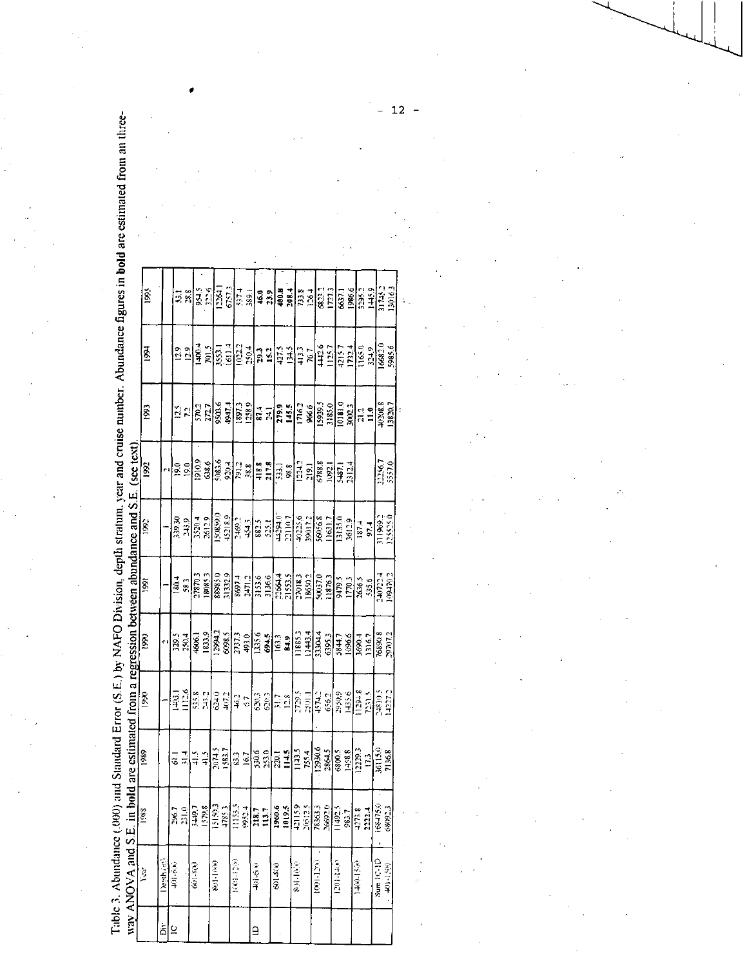Table 3. Abundance (.000) and Standard Error (S.E.) by NAFO Division, depth stratum, year and cruise number. Abundance figures in bold are estimated from an three-<br>way ANOVA and S.E. in bold are estimated from a regression

 $\frac{1}{2}$ 

|                                                                   | é.             |                      | $\frac{1}{2}$                                                                                                                    | 28.8                                                                                                                          |                | ង នាំ<br>មិនប្រឹក្សា និង |                     |               |                             |                      |                     | \$39                        |         | $+90.8$             |                                                                                                                                                                                                                                                                                                                                                                                    |                           |                       |                                        |                    |                         | 15 %<br>1986<br>1987<br>1988                                                |                    |                                    | 31745.3<br>13016.3   |
|-------------------------------------------------------------------|----------------|----------------------|----------------------------------------------------------------------------------------------------------------------------------|-------------------------------------------------------------------------------------------------------------------------------|----------------|--------------------------|---------------------|---------------|-----------------------------|----------------------|---------------------|-----------------------------|---------|---------------------|------------------------------------------------------------------------------------------------------------------------------------------------------------------------------------------------------------------------------------------------------------------------------------------------------------------------------------------------------------------------------------|---------------------------|-----------------------|----------------------------------------|--------------------|-------------------------|-----------------------------------------------------------------------------|--------------------|------------------------------------|----------------------|
|                                                                   | ğ              |                      | 129                                                                                                                              | $\frac{129}{2}$                                                                                                               | 1400.4         |                          | $\frac{7015}{3531}$ |               |                             | $\frac{1022}{280.4}$ |                     | <b>3.3</b><br>15.2          |         | 427.5<br>154.5      |                                                                                                                                                                                                                                                                                                                                                                                    |                           | $\frac{3}{2}$         |                                        |                    | $\frac{4215.7}{1732.4}$ |                                                                             | $\frac{650}{3249}$ |                                    | 16682.0<br>5985.6    |
|                                                                   | 8              |                      |                                                                                                                                  | $\frac{1}{2}$ $\frac{1}{2}$ $\frac{1}{8}$ $\frac{1}{8}$ $\frac{1}{8}$ $\frac{1}{8}$ $\frac{1}{8}$ $\frac{1}{8}$ $\frac{1}{8}$ |                |                          |                     |               |                             | 1897.3<br>1258.9     |                     | $\frac{1}{8}$ $\frac{1}{8}$ |         |                     | $\frac{33}{162}$                                                                                                                                                                                                                                                                                                                                                                   |                           |                       |                                        |                    | 101810<br>3002.3        |                                                                             |                    | 21.2<br>11.0<br>13820.7<br>13820.7 |                      |
|                                                                   | $\overline{8}$ |                      | $\begin{array}{r} \n 189 \\  \hline\n 199 \\  \hline\n 1909 \\  \hline\n 1908 \\  \hline\n 6386 \\  \hline\n 6386\n \end{array}$ |                                                                                                                               |                |                          |                     | $9.0 -$       |                             | 791.2<br>38.8        |                     | $\frac{217.8}{217.8}$       |         |                     | $\frac{33}{38}$                                                                                                                                                                                                                                                                                                                                                                    |                           |                       |                                        |                    | $\frac{2}{3}$           |                                                                             |                    |                                    | 22267<br>55320       |
|                                                                   | 192            |                      |                                                                                                                                  | 39.30<br>243.9                                                                                                                |                | 3320.4<br>2612.9         | 150839.0            | 45218.9       |                             | $\frac{23}{34}$      |                     | 82.5                        |         | $\frac{4450}{4340}$ | 4023.6<br>390122                                                                                                                                                                                                                                                                                                                                                                   |                           |                       | 56056.8<br>11631.7                     |                    |                         |                                                                             | $rac{1}{97}$ 4     |                                    | 311969.2<br>125525.0 |
| Commated from a regression octiveer abundance and S.E. (see text) | <b>iscl</b>    |                      |                                                                                                                                  | $\frac{4}{38}$                                                                                                                | 27870.3        | 18085.3                  | 88985.0             | 31332.9       | 8697.4                      | 2471.2               |                     | 3153.6                      |         | 33644<br>31553      |                                                                                                                                                                                                                                                                                                                                                                                    | $\frac{27018.3}{18650.2}$ |                       | 18763<br>18763<br>1703<br>1836<br>1836 |                    |                         |                                                                             |                    | FICLOFE<br>FICLOFE                 |                      |
|                                                                   | issi           | $\ddot{\phantom{0}}$ | 329.5<br>250.4                                                                                                                   |                                                                                                                               | 4006.1         | 1833.9                   | 12994.2             |               | 27373<br>493.0              |                      | $\frac{1356}{6945}$ |                             |         | 163.3<br>84.9       | 11885.3                                                                                                                                                                                                                                                                                                                                                                            | 1143.4                    |                       | $\frac{(395)}{3841}$                   |                    |                         | 3690.4<br>1316.7                                                            |                    | 268908                             |                      |
|                                                                   | ĝ              |                      | $\frac{1403.1}{1112.6}$                                                                                                          |                                                                                                                               | 535.8<br>243.2 |                          | 0.110               | $\frac{1}{2}$ | $\frac{1}{9}$ $\frac{1}{6}$ |                      | ဒ္ပြဲခဲ့            |                             |         | $\frac{58}{52}$     |                                                                                                                                                                                                                                                                                                                                                                                    | $\frac{25}{25}$           | 15712<br>6562<br>1953 |                                        |                    |                         | 815211                                                                      | 7231.5             | $-4810$                            | 11227.3              |
|                                                                   | 1989           |                      |                                                                                                                                  | 릙                                                                                                                             |                |                          |                     |               |                             |                      |                     |                             |         |                     | $= 2\frac{1}{2} \sum_{n=1}^{\infty} \frac{1}{2} \sum_{n=1}^{\infty} \frac{1}{2} \sum_{n=1}^{\infty} \frac{1}{2} \sum_{n=1}^{\infty} \frac{1}{2} \sum_{n=1}^{\infty} \frac{1}{2} \sum_{n=1}^{\infty} \frac{1}{2} \sum_{n=1}^{\infty} \frac{1}{2} \sum_{n=1}^{\infty} \frac{1}{2} \sum_{n=1}^{\infty} \frac{1}{2} \sum_{n=1}^{\infty} \frac{1}{2} \sum_{n=1}^{\infty} \frac{1}{2} \$ |                           |                       |                                        |                    |                         | $\begin{array}{l} 6890.5 \\ 6838 \\ 14583 \\ 12129.3 \\ 13. \\ \end{array}$ |                    | 36115.0<br>7136.8                  |                      |
|                                                                   | 1988           |                      | $-8.7$                                                                                                                           | $31.0\,$                                                                                                                      | $\frac{1}{2}$  |                          | 15150.3<br>4785.3   |               | 11153.4                     |                      | $\frac{187}{1137}$  |                             |         |                     |                                                                                                                                                                                                                                                                                                                                                                                    |                           |                       |                                        | $\frac{1192}{937}$ |                         | 4273.8<br>2222.4                                                            |                    | 1684759                            |                      |
|                                                                   | Year           | <b>Depth</b> (fd)    | $-5.5$                                                                                                                           |                                                                                                                               | $50 - 50$      |                          | (491-108)           |               | 1003-1202                   |                      | 念子                  |                             | 601-800 |                     | 201-108                                                                                                                                                                                                                                                                                                                                                                            |                           | 1001-1200             |                                        | 1201-1400          |                         | $1 + 0.15$                                                                  |                    | Sum IC-ID                          | <b>SST-150</b>       |
|                                                                   |                | á                    | $\overline{a}$                                                                                                                   |                                                                                                                               |                |                          |                     |               |                             |                      | $\triangleq$        |                             |         |                     |                                                                                                                                                                                                                                                                                                                                                                                    |                           |                       |                                        |                    |                         |                                                                             |                    |                                    |                      |

k.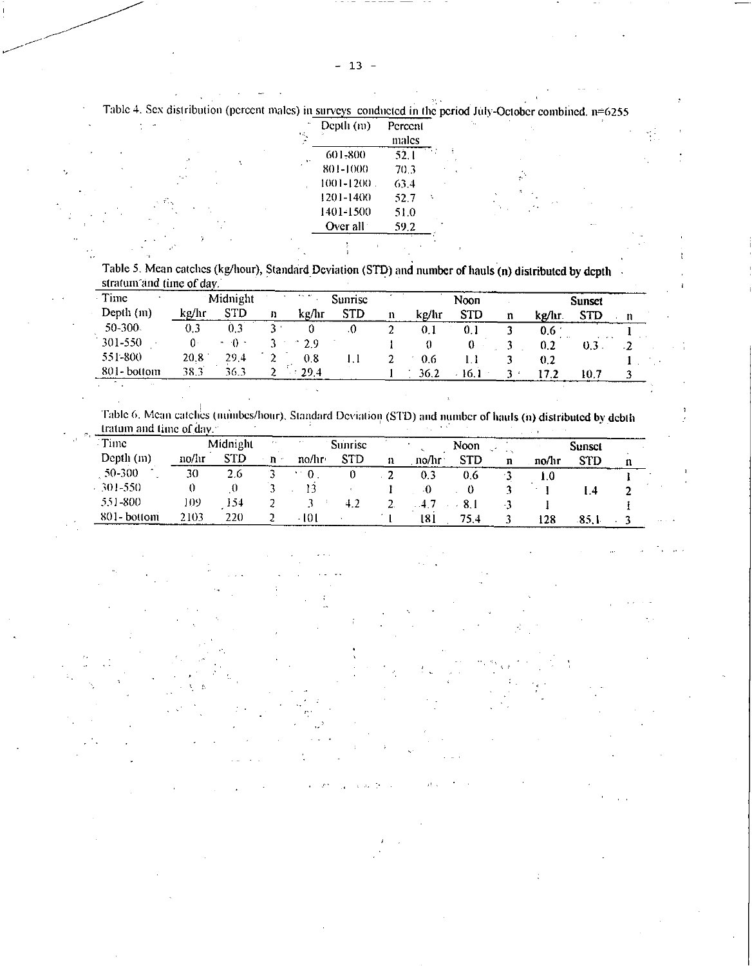# Table 4. Sex distribution (percent males) in surveys conducted in the period July-October combined. n=6255

| Percent |
|---------|
| males   |
| 52.1    |
| 70.3    |
| 63.4    |
| 52.7    |
| 51.0    |
| 59.2    |
|         |

Table 5. Mean catches (kg/hour), Standard Deviation (STD) and number of hauls (n) distributed by depth stratum and time of day.

| Time         |       | Midnight   |   | <b>ALC: NO</b> | <b>Sunrise</b> |   |       | Noon       |   | <b>Sunset</b> |            |     |  |  |
|--------------|-------|------------|---|----------------|----------------|---|-------|------------|---|---------------|------------|-----|--|--|
| Depth (m)    | ke/hr | <b>STD</b> | n | ke/hr          | <b>STD</b>     | n | ke/hr | <b>STD</b> | n | ke/hr.        | <b>STD</b> | n   |  |  |
| $50 - 300$ . | 0.3   | 0.3        |   |                |                |   | 0.1   | 0.1        |   | $0.6^{\circ}$ |            |     |  |  |
| 301-550      |       |            |   |                |                |   |       |            |   | 0.2           | .<br>0.3   | - 4 |  |  |
| $551 - 800$  | 20.8  | 29.4       |   | 0.8            |                |   | 0.6   |            |   | 0.2           |            |     |  |  |
| 801-bottom   | 38.3  | 36.3       |   | 29.4           |                |   | 36.2  | 16 I       |   |               | 10.7       |     |  |  |

Table 6. Mean catches (numbes/hour), Standard Deviation (STD) and number of hauls (n) distributed by debth tratum and time of  $\hat{d}$ ay. $\hat{d}$  $\sim$ 

| - Time       |       | Midnight   | $\mathbf{r}$ |          | <b>Sunrise</b> |   |       | Noon       |   | <b>Sunset</b> |            |  |                |  |  |  |
|--------------|-------|------------|--------------|----------|----------------|---|-------|------------|---|---------------|------------|--|----------------|--|--|--|
| Depth $(m)$  | no/hr | <b>STD</b> |              | no/hr·   | <b>STD</b>     | n | no/hr | <b>STD</b> | n | no/hr         | <b>STD</b> |  |                |  |  |  |
| 50-300       | 30    | 2.6        |              | $\bf{0}$ |                |   | 0.3   | 0.6        |   |               |            |  |                |  |  |  |
| $-301 - 550$ |       |            |              |          |                |   |       |            |   |               |            |  |                |  |  |  |
| 551-800      | 109   | 154        |              |          | 4.2            |   |       |            |   |               |            |  |                |  |  |  |
| 801-bottom   | 2103  | 220        |              | 101      |                |   | 181   | 75.4       |   | 128           | 85.        |  | $\sim$ 5 $-$ 5 |  |  |  |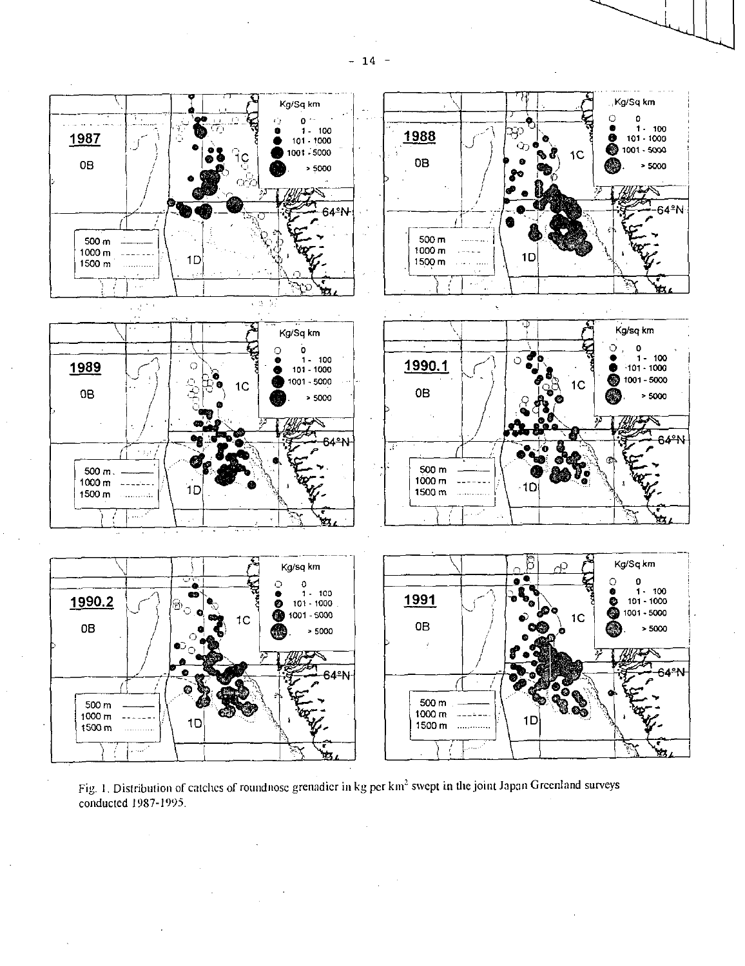$-14$  -



Fig. 1. Distribution of catches of roundnose grenadier in kg per km<sup>2</sup> swept in the joint Japan Greenland surveys conducted 1987-1995.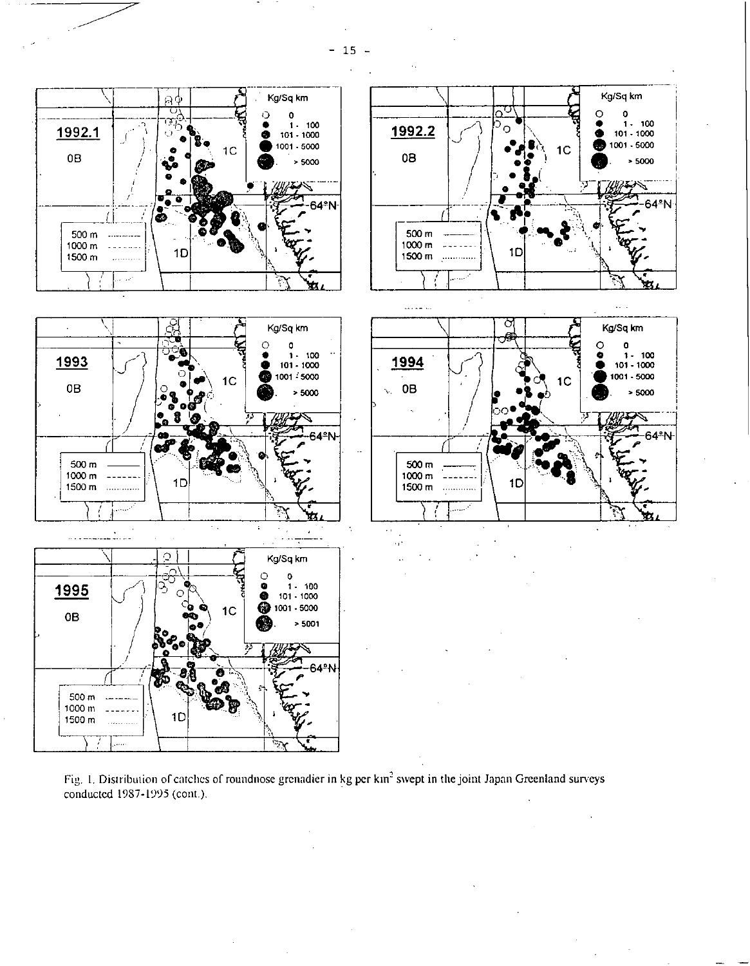- 15 -

 $\sim$ 







1D

1500 m





Fig. 1. Distribution of catches of roundnose grenadier in kg per km<sup>2</sup> swept in the joint Japan Greenland surveys conducted 1987-1995 (cont.).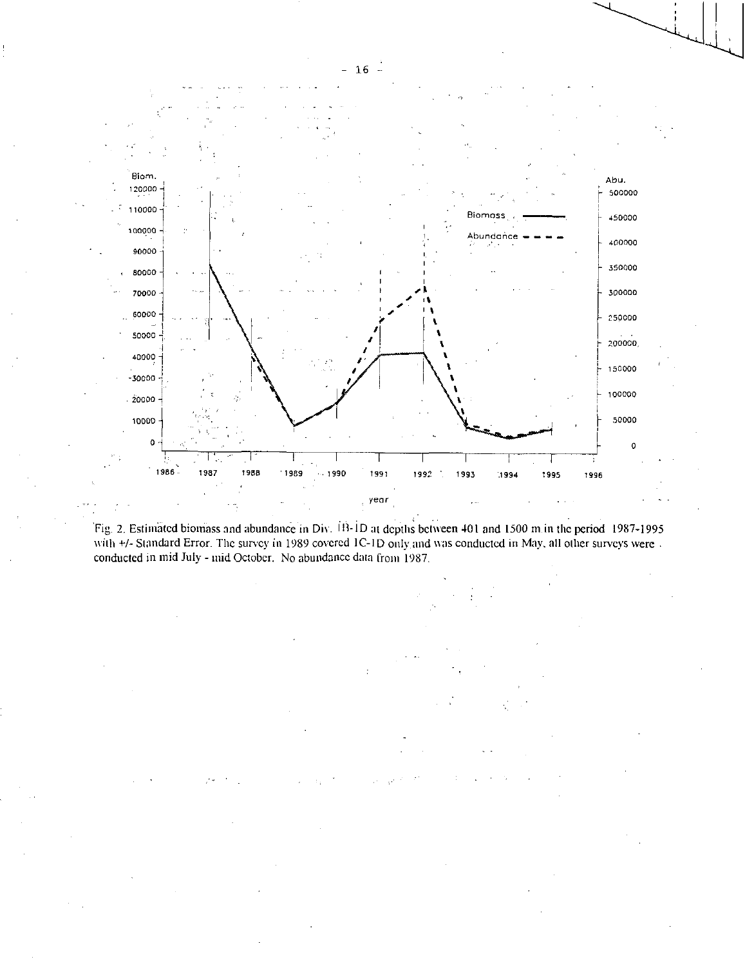

Fig. 2. Estimated biomass and abundance in Div. 1B-1D at depths between 401 and 1500 m in the period 1987-1995 with +/- Standard Error. The survey in 1989 covered IC-1D only and was conducted in May, all other surveys were. conducted in mid July - mid October. No abundance data from 1987.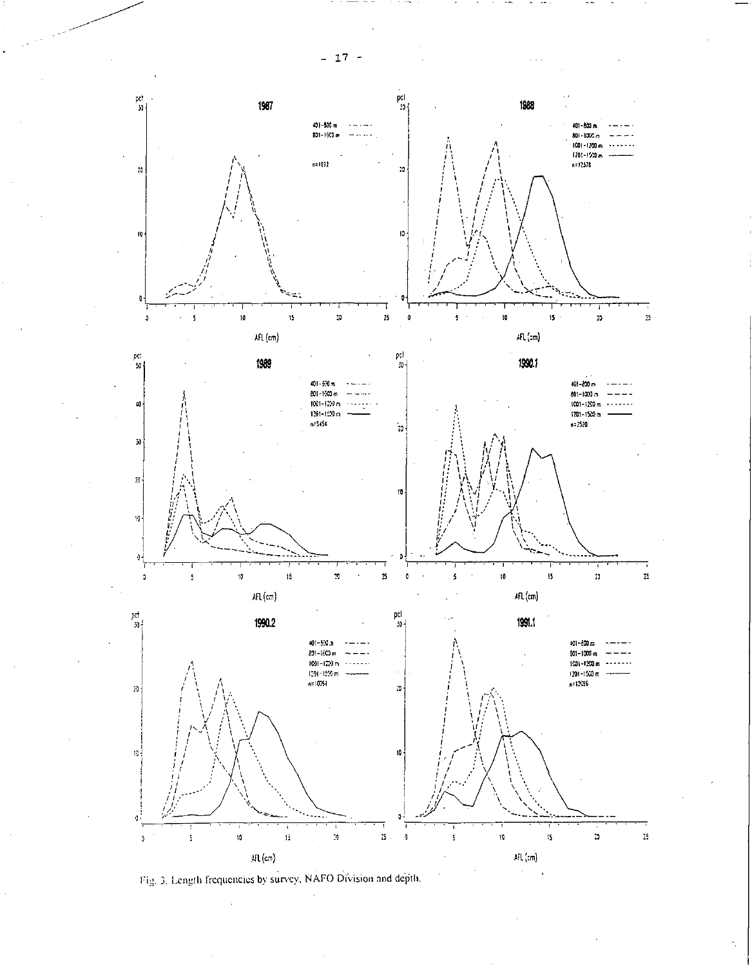$-17 -$ 



Fig. 3. Length frequencies by survey, NAFO Division and depth.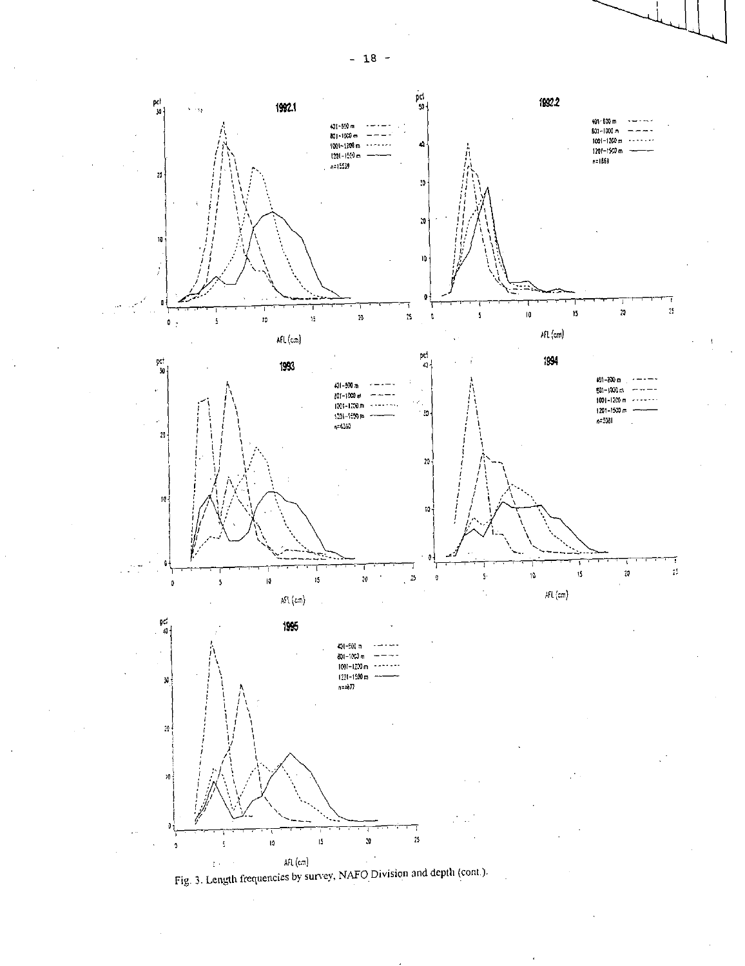oci<br>50 1992.2 pc) 1992.1 ิน 401-800 m<br>801-1000 m<br>1001-1200 m<br>120f-1500 m 431-500 m  $101 - 1000$  m  $1.1.1.1$  $1001 - 1308$  m . . . . . . . 1001-110044<br>1201-1200 m<br>n=15539  $n = 1869$ 70  $\mathfrak{v}$  $\mathfrak{z} \mathfrak{h}$ 10  $\mathbf{b}$  $\overline{\mathfrak{S}}$  $\bar{\bf 15}$  $\overline{\omega}$  $\mathbf{I}\mathbf{0}$  $\overline{\bf 15}$  $\bar{\bf 2}$  $\overline{\phantom{a}}$  $\hat{\mathbf{B}}$  $\mathfrak{g}$  $\mathfrak{g}$  $\pmb{\mathfrak{o}}$  $\mathfrak s$ AFL (cm)  $\texttt{AFL}\left( \texttt{ca} \right)$ pa<br> $\frac{1}{4}$ 1994 pet<br>Jo 1993 ศา-200 ต  $401 - 500$  m 801-1000 m  $\frac{1}{2} \frac{1}{2} \frac{1}{2} \frac{1}{2} \frac{1}{2} \frac{1}{2} \frac{1}{2} \frac{1}{2} \frac{1}{2} \frac{1}{2} \frac{1}{2} \frac{1}{2} \frac{1}{2} \frac{1}{2} \frac{1}{2} \frac{1}{2} \frac{1}{2} \frac{1}{2} \frac{1}{2} \frac{1}{2} \frac{1}{2} \frac{1}{2} \frac{1}{2} \frac{1}{2} \frac{1}{2} \frac{1}{2} \frac{1}{2} \frac{1}{2} \frac{1}{2} \frac{1}{2} \frac{1}{2} \frac{$  $\frac{1}{201}$  –1000 m 1001-1200 m  $\mathcal{L}$  . . . . . .  $1001 - 1200$  m  $1.11111$ нествения<br>|201–1500 m<br>#=308| 39  $1291 - 1239$  m  $n = 6262$  $26\,$  $\overline{\bf 20}$ ĵą. 10  $\tilde{\mathcal{L}}$  $\hat{\mathcal{U}}$  $\hat{\mathbf{u}}$  $\bar{15}$  $\mathsf{S}^1$  $\bar{z}$  $\pmb{0}$ ja.  $\bar{15}$ 20  $\mathfrak{g}$  $\overline{\mathbf{5}}$  $\mathop{\mathit{JFL}}\nolimits\{\mathop{\mathit{cm}}\nolimits\}$  $\mathop{\mathrm{afl}}\nolimits\left( e\pi\right)$ ېن<br>ښ 1995 401-500 m 801-1000 m 1091-1200 m  $\sim$  . . . . . .  $1201 - 1500$  m Ń  $\approx 2077$ 





 $-18$  -